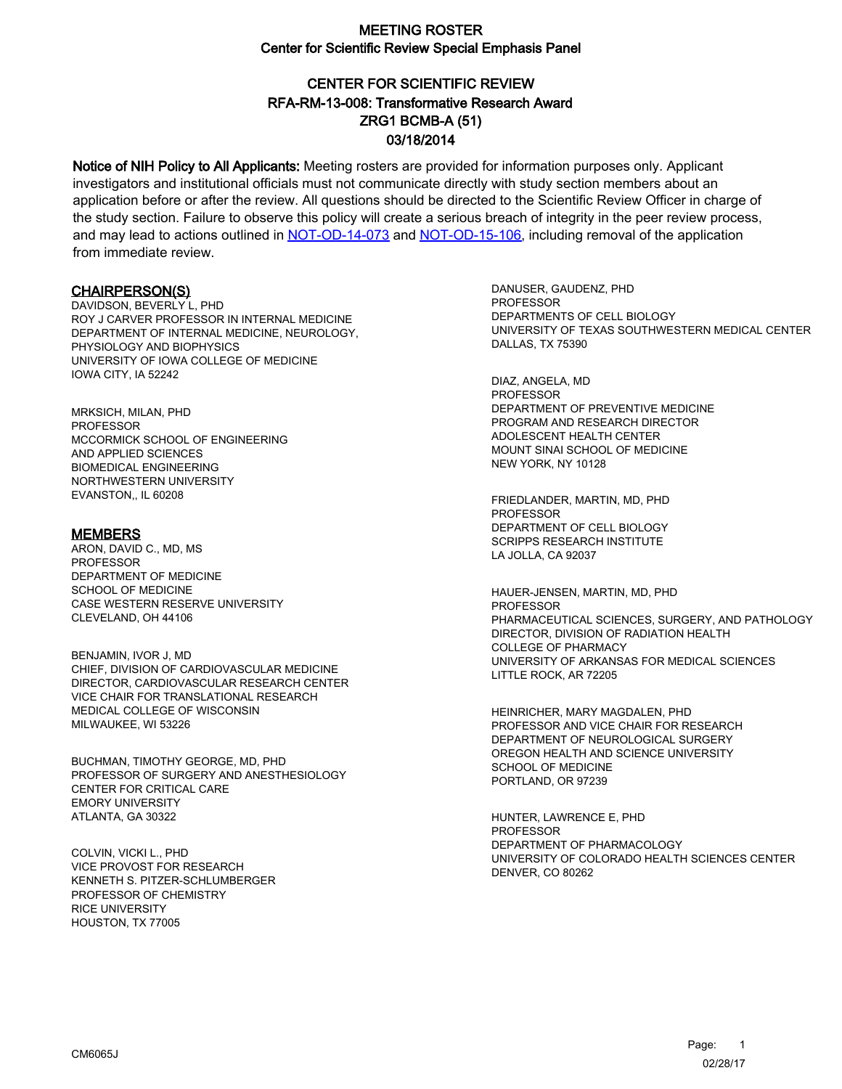### CENTER FOR SCIENTIFIC REVIEW ZRG1 BCMB-A (51) 03/18/2014 RFA-RM-13-008: Transformative Research Award

Notice of NIH Policy to All Applicants: Meeting rosters are provided for information purposes only. Applicant investigators and institutional officials must not communicate directly with study section members about an application before or after the review. All questions should be directed to the Scientific Review Officer in charge of the study section. Failure to observe this policy will create a serious breach of integrity in the peer review process, and may lead to actions outlined in [NOT-OD-14-073](https://grants.nih.gov/grants/guide/notice-files/NOT-OD-14-073.html) and [NOT-OD-15-106,](https://grants.nih.gov/grants/guide/notice-files/NOT-OD-15-106.html) including removal of the application from immediate review.

#### CHAIRPERSON(S)

DAVIDSON, BEVERLY L, PHD ROY J CARVER PROFESSOR IN INTERNAL MEDICINE DEPARTMENT OF INTERNAL MEDICINE, NEUROLOGY, PHYSIOLOGY AND BIOPHYSICS UNIVERSITY OF IOWA COLLEGE OF MEDICINE IOWA CITY, IA 52242

MRKSICH, MILAN, PHD **PROFESSOR** MCCORMICK SCHOOL OF ENGINEERING AND APPLIED SCIENCES BIOMEDICAL ENGINEERING NORTHWESTERN UNIVERSITY EVANSTON,, IL 60208

#### MEMBERS

ARON, DAVID C., MD, MS PROFESSOR DEPARTMENT OF MEDICINE SCHOOL OF MEDICINE CASE WESTERN RESERVE UNIVERSITY CLEVELAND, OH 44106

BENJAMIN, IVOR J, MD CHIEF, DIVISION OF CARDIOVASCULAR MEDICINE DIRECTOR, CARDIOVASCULAR RESEARCH CENTER VICE CHAIR FOR TRANSLATIONAL RESEARCH MEDICAL COLLEGE OF WISCONSIN MILWAUKEE, WI 53226

BUCHMAN, TIMOTHY GEORGE, MD, PHD PROFESSOR OF SURGERY AND ANESTHESIOLOGY CENTER FOR CRITICAL CARE EMORY UNIVERSITY ATLANTA, GA 30322

COLVIN, VICKI L., PHD VICE PROVOST FOR RESEARCH KENNETH S. PITZER-SCHLUMBERGER PROFESSOR OF CHEMISTRY RICE UNIVERSITY HOUSTON, TX 77005

DANUSER, GAUDENZ, PHD PROFESSOR DEPARTMENTS OF CELL BIOLOGY UNIVERSITY OF TEXAS SOUTHWESTERN MEDICAL CENTER DALLAS, TX 75390

DIAZ, ANGELA, MD PROFESSOR DEPARTMENT OF PREVENTIVE MEDICINE PROGRAM AND RESEARCH DIRECTOR ADOLESCENT HEALTH CENTER MOUNT SINAI SCHOOL OF MEDICINE NEW YORK, NY 10128

FRIEDLANDER, MARTIN, MD, PHD PROFESSOR DEPARTMENT OF CELL BIOLOGY SCRIPPS RESEARCH INSTITUTE LA JOLLA, CA 92037

HAUER-JENSEN, MARTIN, MD, PHD PROFESSOR PHARMACEUTICAL SCIENCES, SURGERY, AND PATHOLOGY DIRECTOR, DIVISION OF RADIATION HEALTH COLLEGE OF PHARMACY UNIVERSITY OF ARKANSAS FOR MEDICAL SCIENCES LITTLE ROCK, AR 72205

HEINRICHER, MARY MAGDALEN, PHD PROFESSOR AND VICE CHAIR FOR RESEARCH DEPARTMENT OF NEUROLOGICAL SURGERY OREGON HEALTH AND SCIENCE UNIVERSITY SCHOOL OF MEDICINE PORTLAND, OR 97239

HUNTER, LAWRENCE E, PHD **PROFESSOR** DEPARTMENT OF PHARMACOLOGY UNIVERSITY OF COLORADO HEALTH SCIENCES CENTER DENVER, CO 80262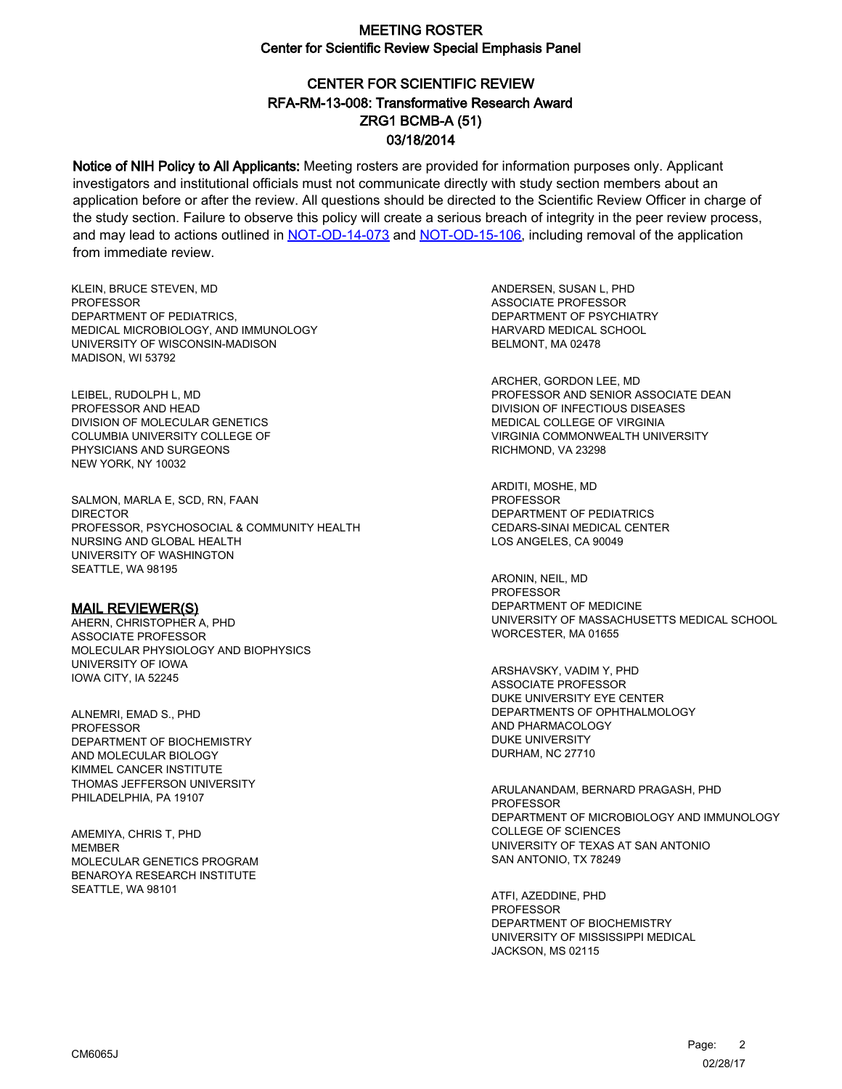# CENTER FOR SCIENTIFIC REVIEW ZRG1 BCMB-A (51) 03/18/2014 RFA-RM-13-008: Transformative Research Award

Notice of NIH Policy to All Applicants: Meeting rosters are provided for information purposes only. Applicant investigators and institutional officials must not communicate directly with study section members about an application before or after the review. All questions should be directed to the Scientific Review Officer in charge of the study section. Failure to observe this policy will create a serious breach of integrity in the peer review process, and may lead to actions outlined in [NOT-OD-14-073](https://grants.nih.gov/grants/guide/notice-files/NOT-OD-14-073.html) and [NOT-OD-15-106,](https://grants.nih.gov/grants/guide/notice-files/NOT-OD-15-106.html) including removal of the application from immediate review.

KLEIN, BRUCE STEVEN, MD **PROFESSOR** DEPARTMENT OF PEDIATRICS, MEDICAL MICROBIOLOGY, AND IMMUNOLOGY UNIVERSITY OF WISCONSIN-MADISON MADISON, WI 53792

LEIBEL, RUDOLPH L, MD PROFESSOR AND HEAD DIVISION OF MOLECULAR GENETICS COLUMBIA UNIVERSITY COLLEGE OF PHYSICIANS AND SURGEONS NEW YORK, NY 10032

SALMON, MARLA E, SCD, RN, FAAN DIRECTOR PROFESSOR, PSYCHOSOCIAL & COMMUNITY HEALTH NURSING AND GLOBAL HEALTH UNIVERSITY OF WASHINGTON SEATTLE, WA 98195

#### MAIL REVIEWER(S)

AHERN, CHRISTOPHER A, PHD ASSOCIATE PROFESSOR MOLECULAR PHYSIOLOGY AND BIOPHYSICS UNIVERSITY OF IOWA IOWA CITY, IA 52245

ALNEMRI, EMAD S., PHD PROFESSOR DEPARTMENT OF BIOCHEMISTRY AND MOLECULAR BIOLOGY KIMMEL CANCER INSTITUTE THOMAS JEFFERSON UNIVERSITY PHILADELPHIA, PA 19107

AMEMIYA, CHRIS T, PHD MEMBER MOLECULAR GENETICS PROGRAM BENAROYA RESEARCH INSTITUTE SEATTLE, WA 98101

ANDERSEN, SUSAN L, PHD ASSOCIATE PROFESSOR DEPARTMENT OF PSYCHIATRY HARVARD MEDICAL SCHOOL BELMONT, MA 02478

ARCHER, GORDON LEE, MD PROFESSOR AND SENIOR ASSOCIATE DEAN DIVISION OF INFECTIOUS DISEASES MEDICAL COLLEGE OF VIRGINIA VIRGINIA COMMONWEALTH UNIVERSITY RICHMOND, VA 23298

ARDITI, MOSHE, MD PROFESSOR DEPARTMENT OF PEDIATRICS CEDARS-SINAI MEDICAL CENTER LOS ANGELES, CA 90049

ARONIN, NEIL, MD PROFESSOR DEPARTMENT OF MEDICINE UNIVERSITY OF MASSACHUSETTS MEDICAL SCHOOL WORCESTER, MA 01655

ARSHAVSKY, VADIM Y, PHD ASSOCIATE PROFESSOR DUKE UNIVERSITY EYE CENTER DEPARTMENTS OF OPHTHALMOLOGY AND PHARMACOLOGY DUKE UNIVERSITY DURHAM, NC 27710

ARULANANDAM, BERNARD PRAGASH, PHD **PROFESSOR** DEPARTMENT OF MICROBIOLOGY AND IMMUNOLOGY COLLEGE OF SCIENCES UNIVERSITY OF TEXAS AT SAN ANTONIO SAN ANTONIO, TX 78249

ATFI, AZEDDINE, PHD PROFESSOR DEPARTMENT OF BIOCHEMISTRY UNIVERSITY OF MISSISSIPPI MEDICAL JACKSON, MS 02115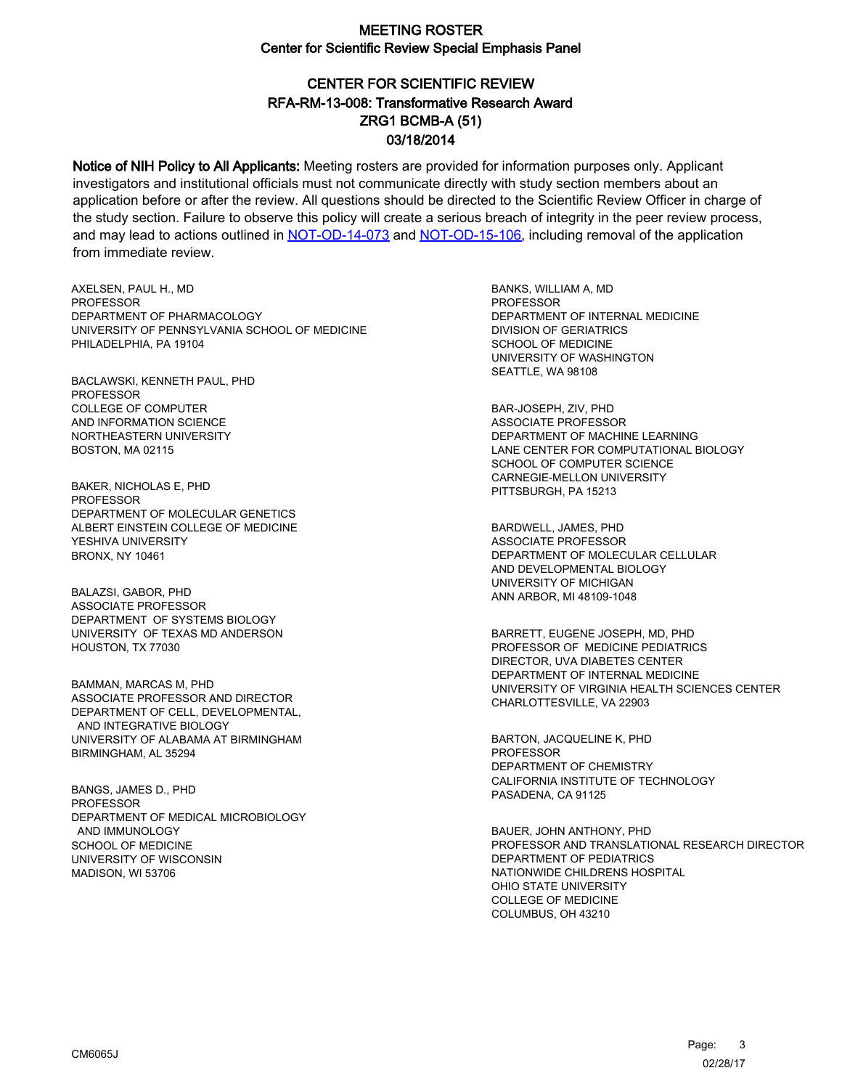# CENTER FOR SCIENTIFIC REVIEW ZRG1 BCMB-A (51) 03/18/2014 RFA-RM-13-008: Transformative Research Award

Notice of NIH Policy to All Applicants: Meeting rosters are provided for information purposes only. Applicant investigators and institutional officials must not communicate directly with study section members about an application before or after the review. All questions should be directed to the Scientific Review Officer in charge of the study section. Failure to observe this policy will create a serious breach of integrity in the peer review process, and may lead to actions outlined in [NOT-OD-14-073](https://grants.nih.gov/grants/guide/notice-files/NOT-OD-14-073.html) and [NOT-OD-15-106,](https://grants.nih.gov/grants/guide/notice-files/NOT-OD-15-106.html) including removal of the application from immediate review.

AXELSEN, PAUL H., MD **PROFESSOR** DEPARTMENT OF PHARMACOLOGY UNIVERSITY OF PENNSYLVANIA SCHOOL OF MEDICINE PHILADELPHIA, PA 19104

BACLAWSKI, KENNETH PAUL, PHD PROFESSOR COLLEGE OF COMPUTER AND INFORMATION SCIENCE NORTHEASTERN UNIVERSITY BOSTON, MA 02115

BAKER, NICHOLAS E, PHD PROFESSOR DEPARTMENT OF MOLECULAR GENETICS ALBERT EINSTEIN COLLEGE OF MEDICINE YESHIVA UNIVERSITY BRONX, NY 10461

BALAZSI, GABOR, PHD ASSOCIATE PROFESSOR DEPARTMENT OF SYSTEMS BIOLOGY UNIVERSITY OF TEXAS MD ANDERSON HOUSTON, TX 77030

BAMMAN, MARCAS M, PHD ASSOCIATE PROFESSOR AND DIRECTOR DEPARTMENT OF CELL, DEVELOPMENTAL, AND INTEGRATIVE BIOLOGY UNIVERSITY OF ALABAMA AT BIRMINGHAM BIRMINGHAM, AL 35294

BANGS, JAMES D., PHD PROFESSOR DEPARTMENT OF MEDICAL MICROBIOLOGY AND IMMUNOLOGY SCHOOL OF MEDICINE UNIVERSITY OF WISCONSIN MADISON, WI 53706

BANKS, WILLIAM A, MD **PROFESSOR** DEPARTMENT OF INTERNAL MEDICINE DIVISION OF GERIATRICS SCHOOL OF MEDICINE UNIVERSITY OF WASHINGTON SEATTLE, WA 98108

BAR-JOSEPH, ZIV, PHD ASSOCIATE PROFESSOR DEPARTMENT OF MACHINE LEARNING LANE CENTER FOR COMPUTATIONAL BIOLOGY SCHOOL OF COMPUTER SCIENCE CARNEGIE-MELLON UNIVERSITY PITTSBURGH, PA 15213

BARDWELL, JAMES, PHD ASSOCIATE PROFESSOR DEPARTMENT OF MOLECULAR CELLULAR AND DEVELOPMENTAL BIOLOGY UNIVERSITY OF MICHIGAN ANN ARBOR, MI 48109-1048

BARRETT, EUGENE JOSEPH, MD, PHD PROFESSOR OF MEDICINE PEDIATRICS DIRECTOR, UVA DIABETES CENTER DEPARTMENT OF INTERNAL MEDICINE UNIVERSITY OF VIRGINIA HEALTH SCIENCES CENTER CHARLOTTESVILLE, VA 22903

BARTON, JACQUELINE K, PHD PROFESSOR DEPARTMENT OF CHEMISTRY CALIFORNIA INSTITUTE OF TECHNOLOGY PASADENA, CA 91125

BAUER, JOHN ANTHONY, PHD PROFESSOR AND TRANSLATIONAL RESEARCH DIRECTOR DEPARTMENT OF PEDIATRICS NATIONWIDE CHILDRENS HOSPITAL OHIO STATE UNIVERSITY COLLEGE OF MEDICINE COLUMBUS, OH 43210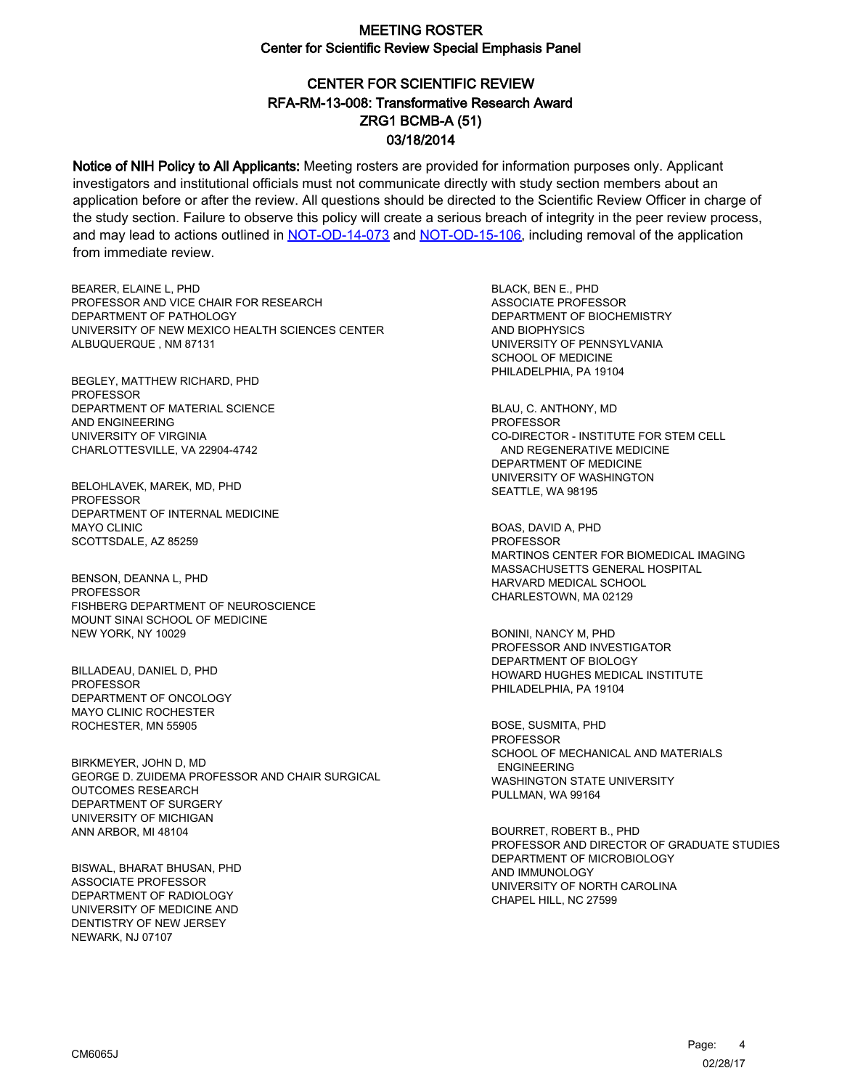# CENTER FOR SCIENTIFIC REVIEW ZRG1 BCMB-A (51) 03/18/2014 RFA-RM-13-008: Transformative Research Award

Notice of NIH Policy to All Applicants: Meeting rosters are provided for information purposes only. Applicant investigators and institutional officials must not communicate directly with study section members about an application before or after the review. All questions should be directed to the Scientific Review Officer in charge of the study section. Failure to observe this policy will create a serious breach of integrity in the peer review process, and may lead to actions outlined in [NOT-OD-14-073](https://grants.nih.gov/grants/guide/notice-files/NOT-OD-14-073.html) and [NOT-OD-15-106,](https://grants.nih.gov/grants/guide/notice-files/NOT-OD-15-106.html) including removal of the application from immediate review.

BEARER, ELAINE L, PHD PROFESSOR AND VICE CHAIR FOR RESEARCH DEPARTMENT OF PATHOLOGY UNIVERSITY OF NEW MEXICO HEALTH SCIENCES CENTER ALBUQUERQUE , NM 87131

BEGLEY, MATTHEW RICHARD, PHD PROFESSOR DEPARTMENT OF MATERIAL SCIENCE AND ENGINEERING UNIVERSITY OF VIRGINIA CHARLOTTESVILLE, VA 22904-4742

BELOHLAVEK, MAREK, MD, PHD PROFESSOR DEPARTMENT OF INTERNAL MEDICINE MAYO CLINIC SCOTTSDALE, AZ 85259

BENSON, DEANNA L, PHD PROFESSOR FISHBERG DEPARTMENT OF NEUROSCIENCE MOUNT SINAI SCHOOL OF MEDICINE NEW YORK, NY 10029

BILLADEAU, DANIEL D, PHD PROFESSOR DEPARTMENT OF ONCOLOGY MAYO CLINIC ROCHESTER ROCHESTER, MN 55905

BIRKMEYER, JOHN D, MD GEORGE D. ZUIDEMA PROFESSOR AND CHAIR SURGICAL OUTCOMES RESEARCH DEPARTMENT OF SURGERY UNIVERSITY OF MICHIGAN ANN ARBOR, MI 48104

BISWAL, BHARAT BHUSAN, PHD ASSOCIATE PROFESSOR DEPARTMENT OF RADIOLOGY UNIVERSITY OF MEDICINE AND DENTISTRY OF NEW JERSEY NEWARK, NJ 07107

BLACK, BEN E., PHD ASSOCIATE PROFESSOR DEPARTMENT OF BIOCHEMISTRY AND BIOPHYSICS UNIVERSITY OF PENNSYLVANIA SCHOOL OF MEDICINE PHILADELPHIA, PA 19104

BLAU, C. ANTHONY, MD PROFESSOR CO-DIRECTOR - INSTITUTE FOR STEM CELL AND REGENERATIVE MEDICINE DEPARTMENT OF MEDICINE UNIVERSITY OF WASHINGTON SEATTLE, WA 98195

BOAS, DAVID A, PHD PROFESSOR MARTINOS CENTER FOR BIOMEDICAL IMAGING MASSACHUSETTS GENERAL HOSPITAL HARVARD MEDICAL SCHOOL CHARLESTOWN, MA 02129

BONINI, NANCY M, PHD PROFESSOR AND INVESTIGATOR DEPARTMENT OF BIOLOGY HOWARD HUGHES MEDICAL INSTITUTE PHILADELPHIA, PA 19104

BOSE, SUSMITA, PHD PROFESSOR SCHOOL OF MECHANICAL AND MATERIALS ENGINEERING WASHINGTON STATE UNIVERSITY PULLMAN, WA 99164

BOURRET, ROBERT B., PHD PROFESSOR AND DIRECTOR OF GRADUATE STUDIES DEPARTMENT OF MICROBIOLOGY AND IMMUNOLOGY UNIVERSITY OF NORTH CAROLINA CHAPEL HILL, NC 27599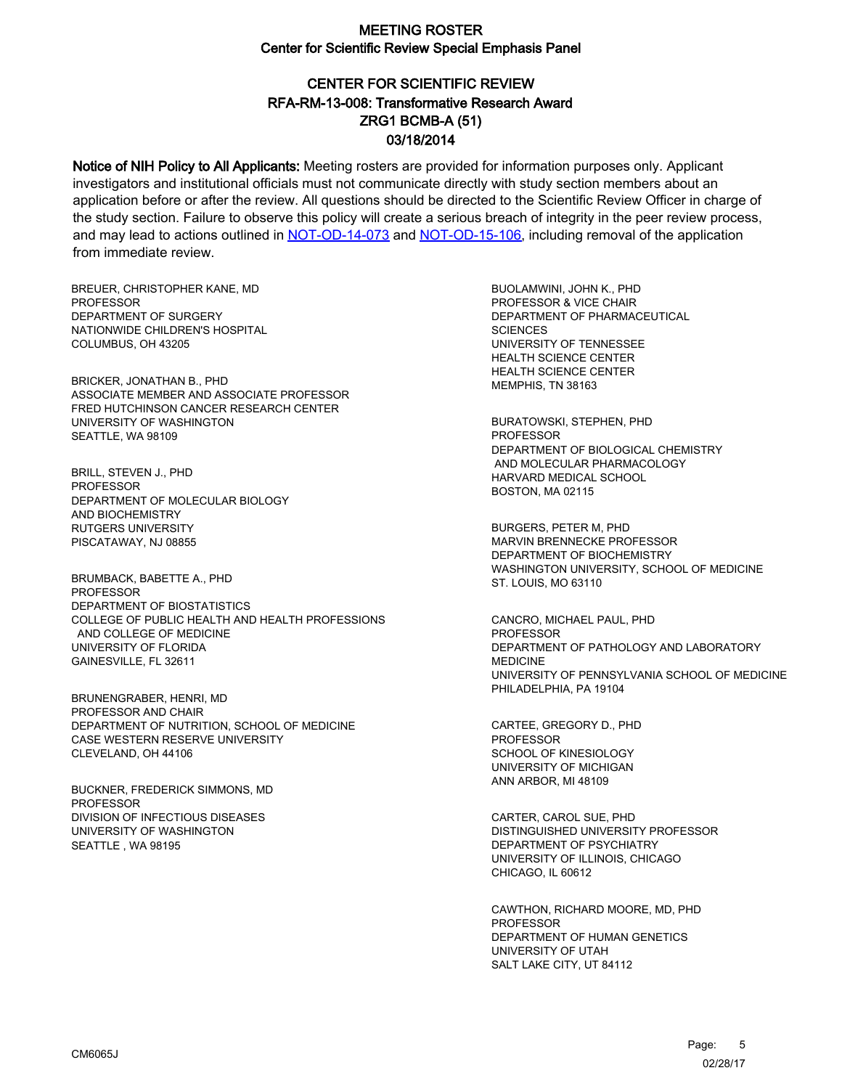# CENTER FOR SCIENTIFIC REVIEW ZRG1 BCMB-A (51) 03/18/2014 RFA-RM-13-008: Transformative Research Award

Notice of NIH Policy to All Applicants: Meeting rosters are provided for information purposes only. Applicant investigators and institutional officials must not communicate directly with study section members about an application before or after the review. All questions should be directed to the Scientific Review Officer in charge of the study section. Failure to observe this policy will create a serious breach of integrity in the peer review process, and may lead to actions outlined in [NOT-OD-14-073](https://grants.nih.gov/grants/guide/notice-files/NOT-OD-14-073.html) and [NOT-OD-15-106,](https://grants.nih.gov/grants/guide/notice-files/NOT-OD-15-106.html) including removal of the application from immediate review.

BREUER, CHRISTOPHER KANE, MD **PROFESSOR** DEPARTMENT OF SURGERY NATIONWIDE CHILDREN'S HOSPITAL COLUMBUS, OH 43205

BRICKER, JONATHAN B., PHD ASSOCIATE MEMBER AND ASSOCIATE PROFESSOR FRED HUTCHINSON CANCER RESEARCH CENTER UNIVERSITY OF WASHINGTON SEATTLE, WA 98109

BRILL, STEVEN J., PHD PROFESSOR DEPARTMENT OF MOLECULAR BIOLOGY AND BIOCHEMISTRY RUTGERS UNIVERSITY PISCATAWAY, NJ 08855

BRUMBACK, BABETTE A., PHD PROFESSOR DEPARTMENT OF BIOSTATISTICS COLLEGE OF PUBLIC HEALTH AND HEALTH PROFESSIONS AND COLLEGE OF MEDICINE UNIVERSITY OF FLORIDA GAINESVILLE, FL 32611

BRUNENGRABER, HENRI, MD PROFESSOR AND CHAIR DEPARTMENT OF NUTRITION, SCHOOL OF MEDICINE CASE WESTERN RESERVE UNIVERSITY CLEVELAND, OH 44106

BUCKNER, FREDERICK SIMMONS, MD **PROFESSOR** DIVISION OF INFECTIOUS DISEASES UNIVERSITY OF WASHINGTON SEATTLE , WA 98195

BUOLAMWINI, JOHN K., PHD PROFESSOR & VICE CHAIR DEPARTMENT OF PHARMACEUTICAL **SCIENCES** UNIVERSITY OF TENNESSEE HEALTH SCIENCE CENTER HEALTH SCIENCE CENTER MEMPHIS, TN 38163

BURATOWSKI, STEPHEN, PHD PROFESSOR DEPARTMENT OF BIOLOGICAL CHEMISTRY AND MOLECULAR PHARMACOLOGY HARVARD MEDICAL SCHOOL BOSTON, MA 02115

BURGERS, PETER M, PHD MARVIN BRENNECKE PROFESSOR DEPARTMENT OF BIOCHEMISTRY WASHINGTON UNIVERSITY, SCHOOL OF MEDICINE ST. LOUIS, MO 63110

CANCRO, MICHAEL PAUL, PHD **PROFESSOR** DEPARTMENT OF PATHOLOGY AND LABORATORY MEDICINE UNIVERSITY OF PENNSYLVANIA SCHOOL OF MEDICINE PHILADELPHIA, PA 19104

CARTEE, GREGORY D., PHD PROFESSOR SCHOOL OF KINESIOLOGY UNIVERSITY OF MICHIGAN ANN ARBOR, MI 48109

CARTER, CAROL SUE, PHD DISTINGUISHED UNIVERSITY PROFESSOR DEPARTMENT OF PSYCHIATRY UNIVERSITY OF ILLINOIS, CHICAGO CHICAGO, IL 60612

CAWTHON, RICHARD MOORE, MD, PHD PROFESSOR DEPARTMENT OF HUMAN GENETICS UNIVERSITY OF UTAH SALT LAKE CITY, UT 84112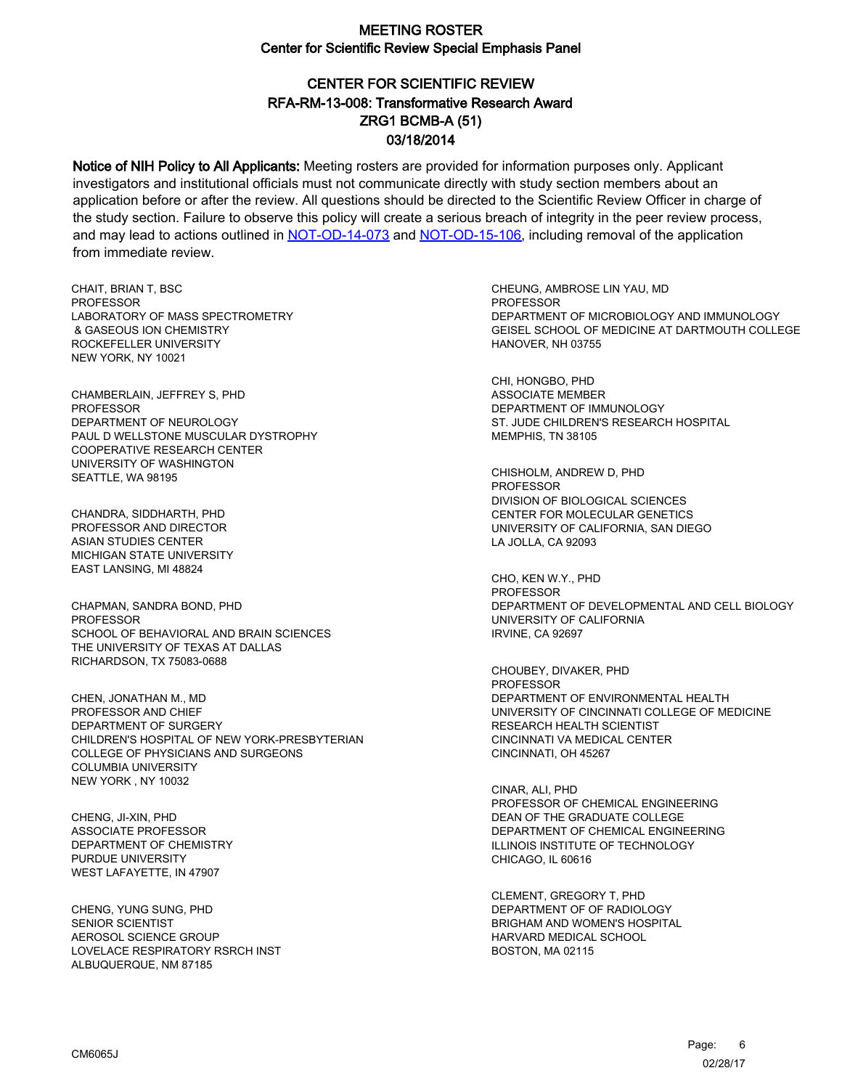# CENTER FOR SCIENTIFIC REVIEW ZRG1 BCMB-A (51) 03/18/2014 RFA-RM-13-008: Transformative Research Award

Notice of NIH Policy to All Applicants: Meeting rosters are provided for information purposes only. Applicant investigators and institutional officials must not communicate directly with study section members about an application before or after the review. All questions should be directed to the Scientific Review Officer in charge of the study section. Failure to observe this policy will create a serious breach of integrity in the peer review process, and may lead to actions outlined in [NOT-OD-14-073](https://grants.nih.gov/grants/guide/notice-files/NOT-OD-14-073.html) and [NOT-OD-15-106,](https://grants.nih.gov/grants/guide/notice-files/NOT-OD-15-106.html) including removal of the application from immediate review.

CHAIT, BRIAN T, BSC **PROFESSOR** LABORATORY OF MASS SPECTROMETRY & GASEOUS ION CHEMISTRY ROCKEFELLER UNIVERSITY NEW YORK, NY 10021

CHAMBERLAIN, JEFFREY S, PHD PROFESSOR DEPARTMENT OF NEUROLOGY PAUL D WELLSTONE MUSCULAR DYSTROPHY COOPERATIVE RESEARCH CENTER UNIVERSITY OF WASHINGTON SEATTLE, WA 98195

CHANDRA, SIDDHARTH, PHD PROFESSOR AND DIRECTOR ASIAN STUDIES CENTER MICHIGAN STATE UNIVERSITY EAST LANSING, MI 48824

CHAPMAN, SANDRA BOND, PHD **PROFESSOR** SCHOOL OF BEHAVIORAL AND BRAIN SCIENCES THE UNIVERSITY OF TEXAS AT DALLAS RICHARDSON, TX 75083-0688

CHEN, JONATHAN M., MD PROFESSOR AND CHIEF DEPARTMENT OF SURGERY CHILDREN'S HOSPITAL OF NEW YORK-PRESBYTERIAN COLLEGE OF PHYSICIANS AND SURGEONS COLUMBIA UNIVERSITY NEW YORK , NY 10032

CHENG, JI-XIN, PHD ASSOCIATE PROFESSOR DEPARTMENT OF CHEMISTRY PURDUE UNIVERSITY WEST LAFAYETTE, IN 47907

CHENG, YUNG SUNG, PHD SENIOR SCIENTIST AEROSOL SCIENCE GROUP LOVELACE RESPIRATORY RSRCH INST ALBUQUERQUE, NM 87185

CHEUNG, AMBROSE LIN YAU, MD PROFESSOR DEPARTMENT OF MICROBIOLOGY AND IMMUNOLOGY GEISEL SCHOOL OF MEDICINE AT DARTMOUTH COLLEGE HANOVER, NH 03755

CHI, HONGBO, PHD ASSOCIATE MEMBER DEPARTMENT OF IMMUNOLOGY ST. JUDE CHILDREN'S RESEARCH HOSPITAL MEMPHIS, TN 38105

CHISHOLM, ANDREW D, PHD **PROFESSOR** DIVISION OF BIOLOGICAL SCIENCES CENTER FOR MOLECULAR GENETICS UNIVERSITY OF CALIFORNIA, SAN DIEGO LA JOLLA, CA 92093

CHO, KEN W.Y., PHD PROFESSOR DEPARTMENT OF DEVELOPMENTAL AND CELL BIOLOGY UNIVERSITY OF CALIFORNIA IRVINE, CA 92697

CHOUBEY, DIVAKER, PHD PROFESSOR DEPARTMENT OF ENVIRONMENTAL HEALTH UNIVERSITY OF CINCINNATI COLLEGE OF MEDICINE RESEARCH HEALTH SCIENTIST CINCINNATI VA MEDICAL CENTER CINCINNATI, OH 45267

CINAR, ALI, PHD PROFESSOR OF CHEMICAL ENGINEERING DEAN OF THE GRADUATE COLLEGE DEPARTMENT OF CHEMICAL ENGINEERING ILLINOIS INSTITUTE OF TECHNOLOGY CHICAGO, IL 60616

CLEMENT, GREGORY T, PHD DEPARTMENT OF OF RADIOLOGY BRIGHAM AND WOMEN'S HOSPITAL HARVARD MEDICAL SCHOOL BOSTON, MA 02115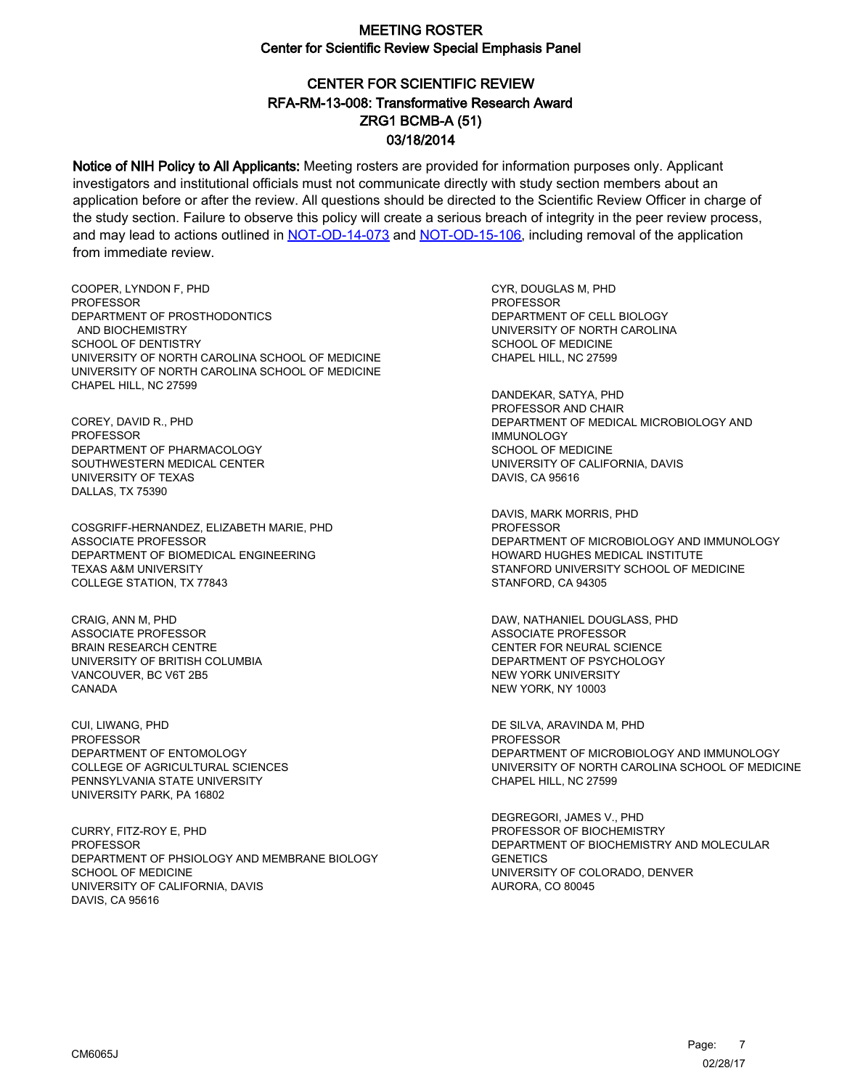# CENTER FOR SCIENTIFIC REVIEW ZRG1 BCMB-A (51) 03/18/2014 RFA-RM-13-008: Transformative Research Award

Notice of NIH Policy to All Applicants: Meeting rosters are provided for information purposes only. Applicant investigators and institutional officials must not communicate directly with study section members about an application before or after the review. All questions should be directed to the Scientific Review Officer in charge of the study section. Failure to observe this policy will create a serious breach of integrity in the peer review process, and may lead to actions outlined in [NOT-OD-14-073](https://grants.nih.gov/grants/guide/notice-files/NOT-OD-14-073.html) and [NOT-OD-15-106,](https://grants.nih.gov/grants/guide/notice-files/NOT-OD-15-106.html) including removal of the application from immediate review.

COOPER, LYNDON F, PHD **PROFESSOR** DEPARTMENT OF PROSTHODONTICS AND BIOCHEMISTRY SCHOOL OF DENTISTRY UNIVERSITY OF NORTH CAROLINA SCHOOL OF MEDICINE UNIVERSITY OF NORTH CAROLINA SCHOOL OF MEDICINE CHAPEL HILL, NC 27599

COREY, DAVID R., PHD PROFESSOR DEPARTMENT OF PHARMACOLOGY SOUTHWESTERN MEDICAL CENTER UNIVERSITY OF TEXAS DALLAS, TX 75390

COSGRIFF-HERNANDEZ, ELIZABETH MARIE, PHD ASSOCIATE PROFESSOR DEPARTMENT OF BIOMEDICAL ENGINEERING TEXAS A&M UNIVERSITY COLLEGE STATION, TX 77843

CRAIG, ANN M, PHD ASSOCIATE PROFESSOR BRAIN RESEARCH CENTRE UNIVERSITY OF BRITISH COLUMBIA VANCOUVER, BC V6T 2B5 **CANADA** 

CUI, LIWANG, PHD PROFESSOR DEPARTMENT OF ENTOMOLOGY COLLEGE OF AGRICULTURAL SCIENCES PENNSYLVANIA STATE UNIVERSITY UNIVERSITY PARK, PA 16802

CURRY, FITZ-ROY E, PHD PROFESSOR DEPARTMENT OF PHSIOLOGY AND MEMBRANE BIOLOGY SCHOOL OF MEDICINE UNIVERSITY OF CALIFORNIA, DAVIS DAVIS, CA 95616

CYR, DOUGLAS M, PHD **PROFESSOR** DEPARTMENT OF CELL BIOLOGY UNIVERSITY OF NORTH CAROLINA SCHOOL OF MEDICINE CHAPEL HILL, NC 27599

DANDEKAR, SATYA, PHD PROFESSOR AND CHAIR DEPARTMENT OF MEDICAL MICROBIOLOGY AND IMMUNOLOGY SCHOOL OF MEDICINE UNIVERSITY OF CALIFORNIA, DAVIS DAVIS, CA 95616

DAVIS, MARK MORRIS, PHD **PROFESSOR** DEPARTMENT OF MICROBIOLOGY AND IMMUNOLOGY HOWARD HUGHES MEDICAL INSTITUTE STANFORD UNIVERSITY SCHOOL OF MEDICINE STANFORD, CA 94305

DAW, NATHANIEL DOUGLASS, PHD ASSOCIATE PROFESSOR CENTER FOR NEURAL SCIENCE DEPARTMENT OF PSYCHOLOGY NEW YORK UNIVERSITY NEW YORK, NY 10003

DE SILVA, ARAVINDA M, PHD PROFESSOR DEPARTMENT OF MICROBIOLOGY AND IMMUNOLOGY UNIVERSITY OF NORTH CAROLINA SCHOOL OF MEDICINE CHAPEL HILL, NC 27599

DEGREGORI, JAMES V., PHD PROFESSOR OF BIOCHEMISTRY DEPARTMENT OF BIOCHEMISTRY AND MOLECULAR **GENETICS** UNIVERSITY OF COLORADO, DENVER AURORA, CO 80045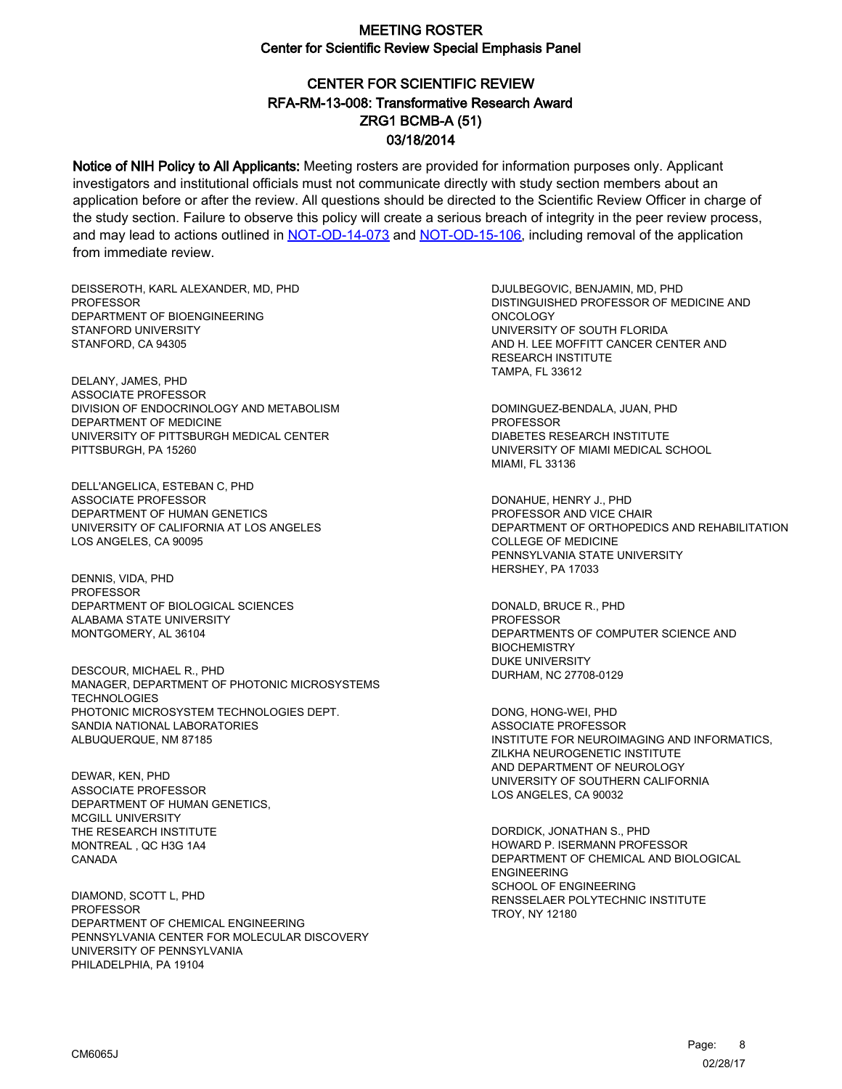# CENTER FOR SCIENTIFIC REVIEW ZRG1 BCMB-A (51) 03/18/2014 RFA-RM-13-008: Transformative Research Award

Notice of NIH Policy to All Applicants: Meeting rosters are provided for information purposes only. Applicant investigators and institutional officials must not communicate directly with study section members about an application before or after the review. All questions should be directed to the Scientific Review Officer in charge of the study section. Failure to observe this policy will create a serious breach of integrity in the peer review process, and may lead to actions outlined in [NOT-OD-14-073](https://grants.nih.gov/grants/guide/notice-files/NOT-OD-14-073.html) and [NOT-OD-15-106,](https://grants.nih.gov/grants/guide/notice-files/NOT-OD-15-106.html) including removal of the application from immediate review.

DEISSEROTH, KARL ALEXANDER, MD, PHD **PROFESSOR** DEPARTMENT OF BIOENGINEERING STANFORD UNIVERSITY STANFORD, CA 94305

DELANY, JAMES, PHD ASSOCIATE PROFESSOR DIVISION OF ENDOCRINOLOGY AND METABOLISM DEPARTMENT OF MEDICINE UNIVERSITY OF PITTSBURGH MEDICAL CENTER PITTSBURGH, PA 15260

DELL'ANGELICA, ESTEBAN C, PHD ASSOCIATE PROFESSOR DEPARTMENT OF HUMAN GENETICS UNIVERSITY OF CALIFORNIA AT LOS ANGELES LOS ANGELES, CA 90095

DENNIS, VIDA, PHD PROFESSOR DEPARTMENT OF BIOLOGICAL SCIENCES ALABAMA STATE UNIVERSITY MONTGOMERY, AL 36104

DESCOUR, MICHAEL R., PHD MANAGER, DEPARTMENT OF PHOTONIC MICROSYSTEMS **TECHNOLOGIES** PHOTONIC MICROSYSTEM TECHNOLOGIES DEPT. SANDIA NATIONAL LABORATORIES ALBUQUERQUE, NM 87185

DEWAR, KEN, PHD ASSOCIATE PROFESSOR DEPARTMENT OF HUMAN GENETICS, MCGILL UNIVERSITY THE RESEARCH INSTITUTE MONTREAL , QC H3G 1A4 CANADA

DIAMOND, SCOTT L, PHD PROFESSOR DEPARTMENT OF CHEMICAL ENGINEERING PENNSYLVANIA CENTER FOR MOLECULAR DISCOVERY UNIVERSITY OF PENNSYLVANIA PHILADELPHIA, PA 19104

DJULBEGOVIC, BENJAMIN, MD, PHD DISTINGUISHED PROFESSOR OF MEDICINE AND ONCOLOGY UNIVERSITY OF SOUTH FLORIDA AND H. LEE MOFFITT CANCER CENTER AND RESEARCH INSTITUTE TAMPA, FL 33612

DOMINGUEZ-BENDALA, JUAN, PHD PROFESSOR DIABETES RESEARCH INSTITUTE UNIVERSITY OF MIAMI MEDICAL SCHOOL MIAMI, FL 33136

DONAHUE, HENRY J., PHD PROFESSOR AND VICE CHAIR DEPARTMENT OF ORTHOPEDICS AND REHABILITATION COLLEGE OF MEDICINE PENNSYLVANIA STATE UNIVERSITY HERSHEY, PA 17033

DONALD, BRUCE R., PHD PROFESSOR DEPARTMENTS OF COMPUTER SCIENCE AND **BIOCHEMISTRY** DUKE UNIVERSITY DURHAM, NC 27708-0129

DONG, HONG-WEI, PHD ASSOCIATE PROFESSOR INSTITUTE FOR NEUROIMAGING AND INFORMATICS, ZILKHA NEUROGENETIC INSTITUTE AND DEPARTMENT OF NEUROLOGY UNIVERSITY OF SOUTHERN CALIFORNIA LOS ANGELES, CA 90032

DORDICK, JONATHAN S., PHD HOWARD P. ISERMANN PROFESSOR DEPARTMENT OF CHEMICAL AND BIOLOGICAL ENGINEERING SCHOOL OF ENGINEERING RENSSELAER POLYTECHNIC INSTITUTE TROY, NY 12180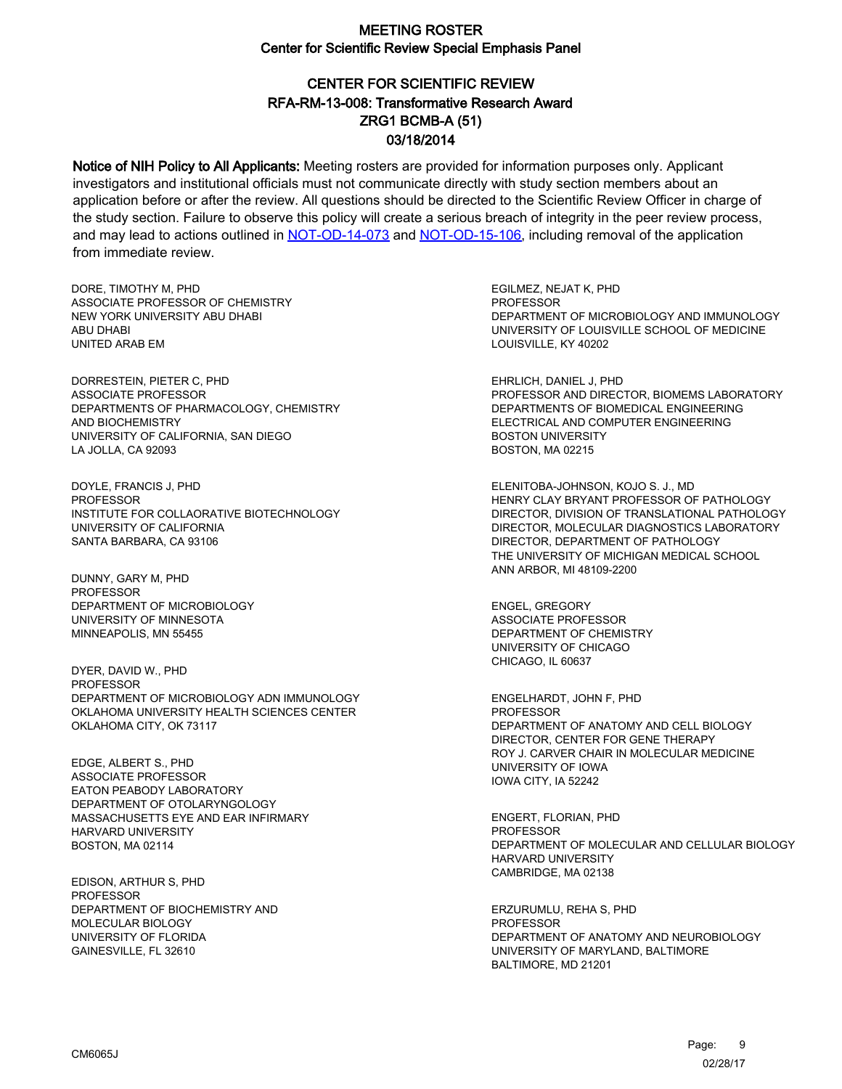# CENTER FOR SCIENTIFIC REVIEW ZRG1 BCMB-A (51) 03/18/2014 RFA-RM-13-008: Transformative Research Award

Notice of NIH Policy to All Applicants: Meeting rosters are provided for information purposes only. Applicant investigators and institutional officials must not communicate directly with study section members about an application before or after the review. All questions should be directed to the Scientific Review Officer in charge of the study section. Failure to observe this policy will create a serious breach of integrity in the peer review process, and may lead to actions outlined in [NOT-OD-14-073](https://grants.nih.gov/grants/guide/notice-files/NOT-OD-14-073.html) and [NOT-OD-15-106,](https://grants.nih.gov/grants/guide/notice-files/NOT-OD-15-106.html) including removal of the application from immediate review.

DORE, TIMOTHY M, PHD ASSOCIATE PROFESSOR OF CHEMISTRY NEW YORK UNIVERSITY ABU DHABI ABU DHABI UNITED ARAB EM

DORRESTEIN, PIETER C, PHD ASSOCIATE PROFESSOR DEPARTMENTS OF PHARMACOLOGY, CHEMISTRY AND BIOCHEMISTRY UNIVERSITY OF CALIFORNIA, SAN DIEGO LA JOLLA, CA 92093

DOYLE, FRANCIS J, PHD PROFESSOR INSTITUTE FOR COLLAORATIVE BIOTECHNOLOGY UNIVERSITY OF CALIFORNIA SANTA BARBARA, CA 93106

DUNNY, GARY M, PHD PROFESSOR DEPARTMENT OF MICROBIOLOGY UNIVERSITY OF MINNESOTA MINNEAPOLIS, MN 55455

DYER, DAVID W., PHD PROFESSOR DEPARTMENT OF MICROBIOLOGY ADN IMMUNOLOGY OKLAHOMA UNIVERSITY HEALTH SCIENCES CENTER OKLAHOMA CITY, OK 73117

EDGE, ALBERT S., PHD ASSOCIATE PROFESSOR EATON PEABODY LABORATORY DEPARTMENT OF OTOLARYNGOLOGY MASSACHUSETTS EYE AND EAR INFIRMARY HARVARD UNIVERSITY BOSTON, MA 02114

EDISON, ARTHUR S, PHD PROFESSOR DEPARTMENT OF BIOCHEMISTRY AND MOLECULAR BIOLOGY UNIVERSITY OF FLORIDA GAINESVILLE, FL 32610

EGILMEZ, NEJAT K, PHD **PROFESSOR** DEPARTMENT OF MICROBIOLOGY AND IMMUNOLOGY UNIVERSITY OF LOUISVILLE SCHOOL OF MEDICINE LOUISVILLE, KY 40202

EHRLICH, DANIEL J, PHD PROFESSOR AND DIRECTOR, BIOMEMS LABORATORY DEPARTMENTS OF BIOMEDICAL ENGINEERING ELECTRICAL AND COMPUTER ENGINEERING BOSTON UNIVERSITY BOSTON, MA 02215

ELENITOBA-JOHNSON, KOJO S. J., MD HENRY CLAY BRYANT PROFESSOR OF PATHOLOGY DIRECTOR, DIVISION OF TRANSLATIONAL PATHOLOGY DIRECTOR, MOLECULAR DIAGNOSTICS LABORATORY DIRECTOR, DEPARTMENT OF PATHOLOGY THE UNIVERSITY OF MICHIGAN MEDICAL SCHOOL ANN ARBOR, MI 48109-2200

ENGEL, GREGORY ASSOCIATE PROFESSOR DEPARTMENT OF CHEMISTRY UNIVERSITY OF CHICAGO CHICAGO, IL 60637

ENGELHARDT, JOHN F, PHD PROFESSOR DEPARTMENT OF ANATOMY AND CELL BIOLOGY DIRECTOR, CENTER FOR GENE THERAPY ROY J. CARVER CHAIR IN MOLECULAR MEDICINE UNIVERSITY OF IOWA IOWA CITY, IA 52242

ENGERT, FLORIAN, PHD **PROFESSOR** DEPARTMENT OF MOLECULAR AND CELLULAR BIOLOGY HARVARD UNIVERSITY CAMBRIDGE, MA 02138

ERZURUMLU, REHA S, PHD PROFESSOR DEPARTMENT OF ANATOMY AND NEUROBIOLOGY UNIVERSITY OF MARYLAND, BALTIMORE BALTIMORE, MD 21201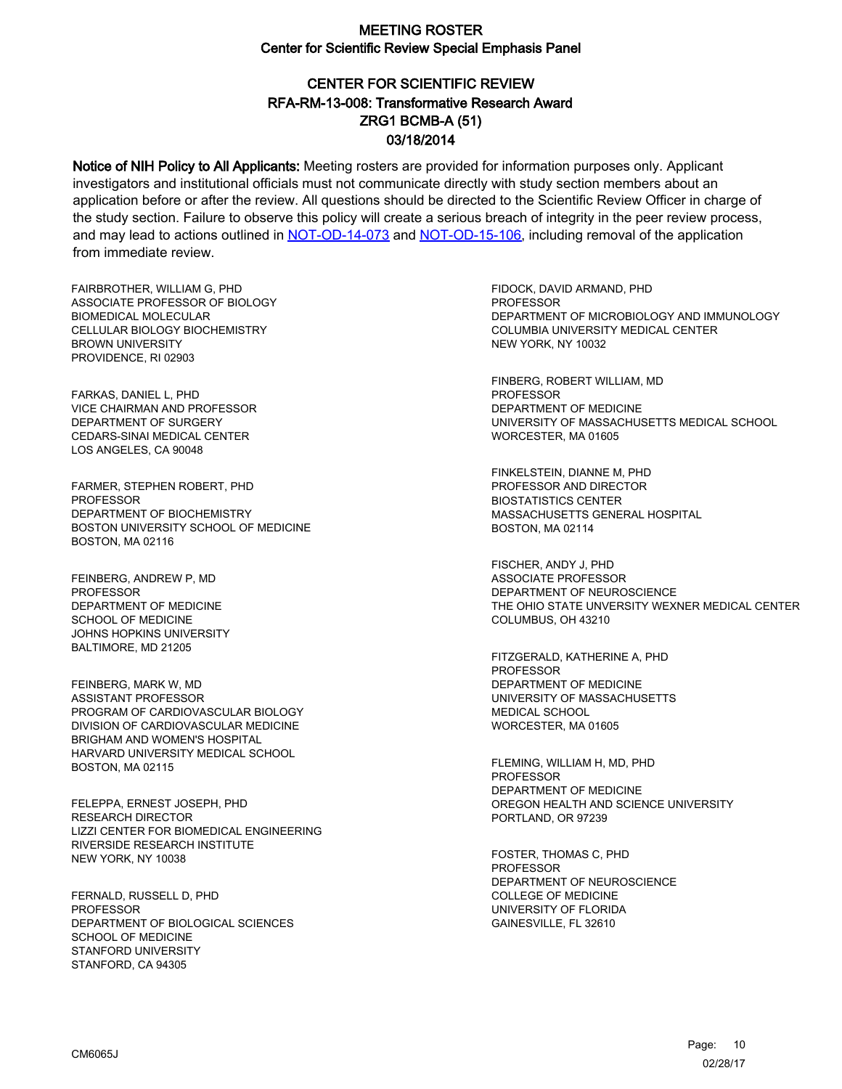# CENTER FOR SCIENTIFIC REVIEW ZRG1 BCMB-A (51) 03/18/2014 RFA-RM-13-008: Transformative Research Award

Notice of NIH Policy to All Applicants: Meeting rosters are provided for information purposes only. Applicant investigators and institutional officials must not communicate directly with study section members about an application before or after the review. All questions should be directed to the Scientific Review Officer in charge of the study section. Failure to observe this policy will create a serious breach of integrity in the peer review process, and may lead to actions outlined in [NOT-OD-14-073](https://grants.nih.gov/grants/guide/notice-files/NOT-OD-14-073.html) and [NOT-OD-15-106,](https://grants.nih.gov/grants/guide/notice-files/NOT-OD-15-106.html) including removal of the application from immediate review.

FAIRBROTHER, WILLIAM G, PHD ASSOCIATE PROFESSOR OF BIOLOGY BIOMEDICAL MOLECULAR CELLULAR BIOLOGY BIOCHEMISTRY BROWN UNIVERSITY PROVIDENCE, RI 02903

FARKAS, DANIEL L, PHD VICE CHAIRMAN AND PROFESSOR DEPARTMENT OF SURGERY CEDARS-SINAI MEDICAL CENTER LOS ANGELES, CA 90048

FARMER, STEPHEN ROBERT, PHD PROFESSOR DEPARTMENT OF BIOCHEMISTRY BOSTON UNIVERSITY SCHOOL OF MEDICINE BOSTON, MA 02116

FEINBERG, ANDREW P, MD PROFESSOR DEPARTMENT OF MEDICINE SCHOOL OF MEDICINE JOHNS HOPKINS UNIVERSITY BALTIMORE, MD 21205

FEINBERG, MARK W, MD ASSISTANT PROFESSOR PROGRAM OF CARDIOVASCULAR BIOLOGY DIVISION OF CARDIOVASCULAR MEDICINE BRIGHAM AND WOMEN'S HOSPITAL HARVARD UNIVERSITY MEDICAL SCHOOL BOSTON, MA 02115

FELEPPA, ERNEST JOSEPH, PHD RESEARCH DIRECTOR LIZZI CENTER FOR BIOMEDICAL ENGINEERING RIVERSIDE RESEARCH INSTITUTE NEW YORK, NY 10038

FERNALD, RUSSELL D, PHD **PROFESSOR** DEPARTMENT OF BIOLOGICAL SCIENCES SCHOOL OF MEDICINE STANFORD UNIVERSITY STANFORD, CA 94305

FIDOCK, DAVID ARMAND, PHD PROFESSOR DEPARTMENT OF MICROBIOLOGY AND IMMUNOLOGY COLUMBIA UNIVERSITY MEDICAL CENTER NEW YORK, NY 10032

FINBERG, ROBERT WILLIAM, MD PROFESSOR DEPARTMENT OF MEDICINE UNIVERSITY OF MASSACHUSETTS MEDICAL SCHOOL WORCESTER, MA 01605

FINKELSTEIN, DIANNE M, PHD PROFESSOR AND DIRECTOR BIOSTATISTICS CENTER MASSACHUSETTS GENERAL HOSPITAL BOSTON, MA 02114

FISCHER, ANDY J, PHD ASSOCIATE PROFESSOR DEPARTMENT OF NEUROSCIENCE THE OHIO STATE UNVERSITY WEXNER MEDICAL CENTER COLUMBUS, OH 43210

FITZGERALD, KATHERINE A, PHD PROFESSOR DEPARTMENT OF MEDICINE UNIVERSITY OF MASSACHUSETTS MEDICAL SCHOOL WORCESTER, MA 01605

FLEMING, WILLIAM H, MD, PHD PROFESSOR DEPARTMENT OF MEDICINE OREGON HEALTH AND SCIENCE UNIVERSITY PORTLAND, OR 97239

FOSTER, THOMAS C, PHD PROFESSOR DEPARTMENT OF NEUROSCIENCE COLLEGE OF MEDICINE UNIVERSITY OF FLORIDA GAINESVILLE, FL 32610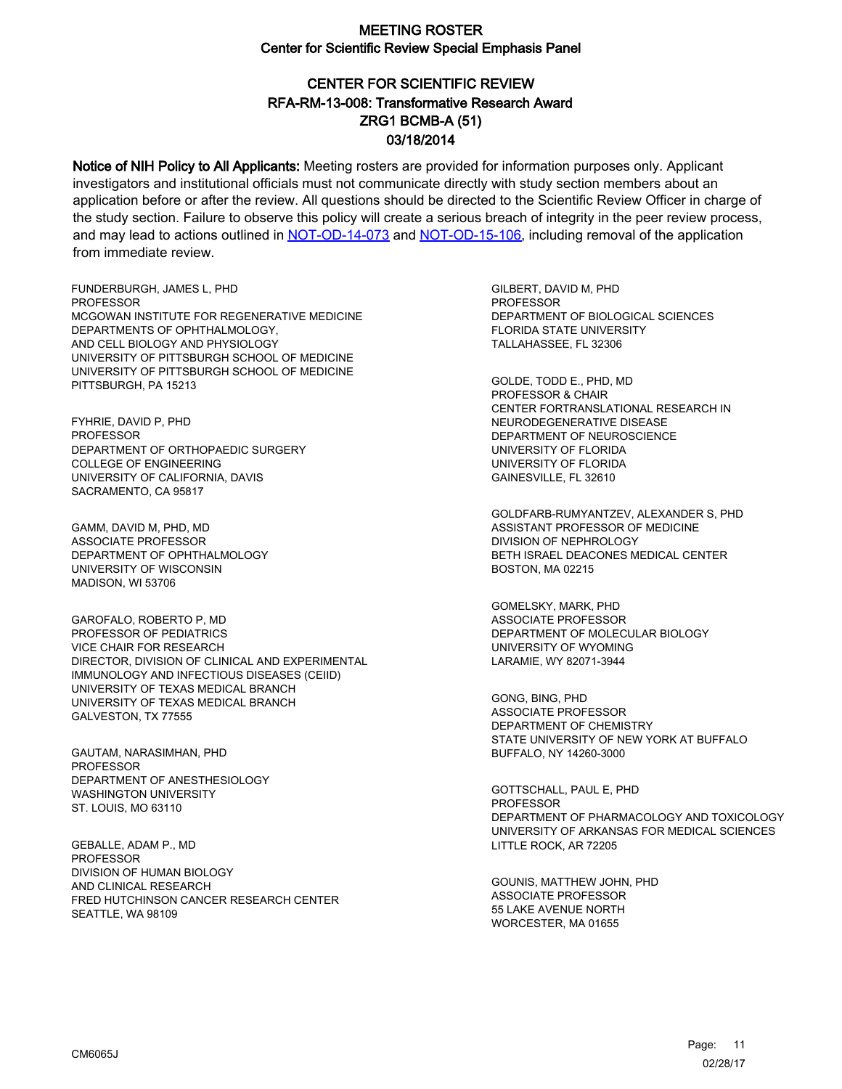# CENTER FOR SCIENTIFIC REVIEW ZRG1 BCMB-A (51) 03/18/2014 RFA-RM-13-008: Transformative Research Award

Notice of NIH Policy to All Applicants: Meeting rosters are provided for information purposes only. Applicant investigators and institutional officials must not communicate directly with study section members about an application before or after the review. All questions should be directed to the Scientific Review Officer in charge of the study section. Failure to observe this policy will create a serious breach of integrity in the peer review process, and may lead to actions outlined in [NOT-OD-14-073](https://grants.nih.gov/grants/guide/notice-files/NOT-OD-14-073.html) and [NOT-OD-15-106,](https://grants.nih.gov/grants/guide/notice-files/NOT-OD-15-106.html) including removal of the application from immediate review.

FUNDERBURGH, JAMES L, PHD **PROFESSOR** MCGOWAN INSTITUTE FOR REGENERATIVE MEDICINE DEPARTMENTS OF OPHTHALMOLOGY, AND CELL BIOLOGY AND PHYSIOLOGY UNIVERSITY OF PITTSBURGH SCHOOL OF MEDICINE UNIVERSITY OF PITTSBURGH SCHOOL OF MEDICINE PITTSBURGH, PA 15213

FYHRIE, DAVID P, PHD PROFESSOR DEPARTMENT OF ORTHOPAEDIC SURGERY COLLEGE OF ENGINEERING UNIVERSITY OF CALIFORNIA, DAVIS SACRAMENTO, CA 95817

GAMM, DAVID M, PHD, MD ASSOCIATE PROFESSOR DEPARTMENT OF OPHTHALMOLOGY UNIVERSITY OF WISCONSIN MADISON, WI 53706

GAROFALO, ROBERTO P, MD PROFESSOR OF PEDIATRICS VICE CHAIR FOR RESEARCH DIRECTOR, DIVISION OF CLINICAL AND EXPERIMENTAL IMMUNOLOGY AND INFECTIOUS DISEASES (CEIID) UNIVERSITY OF TEXAS MEDICAL BRANCH UNIVERSITY OF TEXAS MEDICAL BRANCH GALVESTON, TX 77555

GAUTAM, NARASIMHAN, PHD PROFESSOR DEPARTMENT OF ANESTHESIOLOGY WASHINGTON UNIVERSITY ST. LOUIS, MO 63110

GEBALLE, ADAM P., MD **PROFESSOR** DIVISION OF HUMAN BIOLOGY AND CLINICAL RESEARCH FRED HUTCHINSON CANCER RESEARCH CENTER SEATTLE, WA 98109

GILBERT, DAVID M, PHD **PROFESSOR** DEPARTMENT OF BIOLOGICAL SCIENCES FLORIDA STATE UNIVERSITY TALLAHASSEE, FL 32306

GOLDE, TODD E., PHD, MD PROFESSOR & CHAIR CENTER FORTRANSLATIONAL RESEARCH IN NEURODEGENERATIVE DISEASE DEPARTMENT OF NEUROSCIENCE UNIVERSITY OF FLORIDA UNIVERSITY OF FLORIDA GAINESVILLE, FL 32610

GOLDFARB-RUMYANTZEV, ALEXANDER S, PHD ASSISTANT PROFESSOR OF MEDICINE DIVISION OF NEPHROLOGY BETH ISRAEL DEACONES MEDICAL CENTER BOSTON, MA 02215

GOMELSKY, MARK, PHD ASSOCIATE PROFESSOR DEPARTMENT OF MOLECULAR BIOLOGY UNIVERSITY OF WYOMING LARAMIE, WY 82071-3944

GONG, BING, PHD ASSOCIATE PROFESSOR DEPARTMENT OF CHEMISTRY STATE UNIVERSITY OF NEW YORK AT BUFFALO BUFFALO, NY 14260-3000

GOTTSCHALL, PAUL E, PHD **PROFESSOR** DEPARTMENT OF PHARMACOLOGY AND TOXICOLOGY UNIVERSITY OF ARKANSAS FOR MEDICAL SCIENCES LITTLE ROCK, AR 72205

GOUNIS, MATTHEW JOHN, PHD ASSOCIATE PROFESSOR 55 LAKE AVENUE NORTH WORCESTER, MA 01655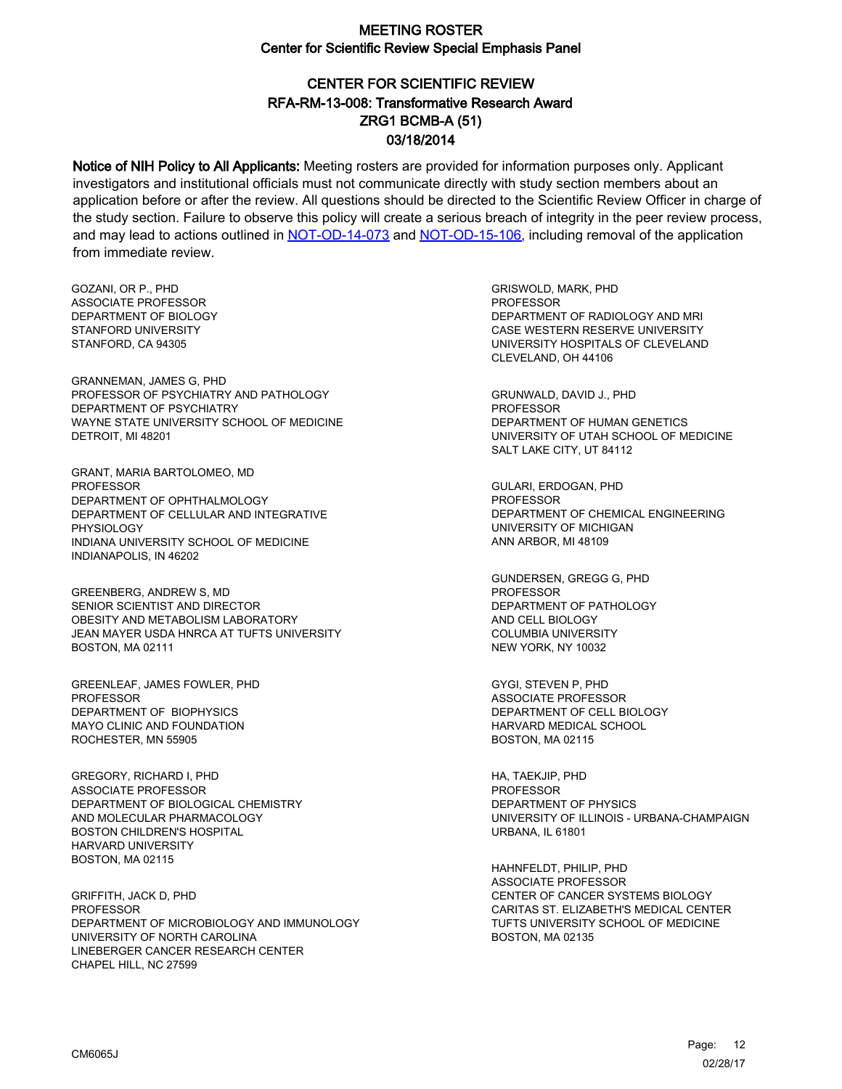### CENTER FOR SCIENTIFIC REVIEW ZRG1 BCMB-A (51) 03/18/2014 RFA-RM-13-008: Transformative Research Award

Notice of NIH Policy to All Applicants: Meeting rosters are provided for information purposes only. Applicant investigators and institutional officials must not communicate directly with study section members about an application before or after the review. All questions should be directed to the Scientific Review Officer in charge of the study section. Failure to observe this policy will create a serious breach of integrity in the peer review process, and may lead to actions outlined in [NOT-OD-14-073](https://grants.nih.gov/grants/guide/notice-files/NOT-OD-14-073.html) and [NOT-OD-15-106,](https://grants.nih.gov/grants/guide/notice-files/NOT-OD-15-106.html) including removal of the application from immediate review.

GOZANI, OR P., PHD ASSOCIATE PROFESSOR DEPARTMENT OF BIOLOGY STANFORD UNIVERSITY STANFORD, CA 94305

GRANNEMAN, JAMES G, PHD PROFESSOR OF PSYCHIATRY AND PATHOLOGY DEPARTMENT OF PSYCHIATRY WAYNE STATE UNIVERSITY SCHOOL OF MEDICINE DETROIT, MI 48201

GRANT, MARIA BARTOLOMEO, MD PROFESSOR DEPARTMENT OF OPHTHALMOLOGY DEPARTMENT OF CELLULAR AND INTEGRATIVE PHYSIOLOGY INDIANA UNIVERSITY SCHOOL OF MEDICINE INDIANAPOLIS, IN 46202

GREENBERG, ANDREW S, MD SENIOR SCIENTIST AND DIRECTOR OBESITY AND METABOLISM LABORATORY JEAN MAYER USDA HNRCA AT TUFTS UNIVERSITY BOSTON, MA 02111

GREENLEAF, JAMES FOWLER, PHD PROFESSOR DEPARTMENT OF BIOPHYSICS MAYO CLINIC AND FOUNDATION ROCHESTER, MN 55905

GREGORY, RICHARD I, PHD ASSOCIATE PROFESSOR DEPARTMENT OF BIOLOGICAL CHEMISTRY AND MOLECULAR PHARMACOLOGY BOSTON CHILDREN'S HOSPITAL HARVARD UNIVERSITY BOSTON, MA 02115

GRIFFITH, JACK D, PHD PROFESSOR DEPARTMENT OF MICROBIOLOGY AND IMMUNOLOGY UNIVERSITY OF NORTH CAROLINA LINEBERGER CANCER RESEARCH CENTER CHAPEL HILL, NC 27599

GRISWOLD, MARK, PHD PROFESSOR DEPARTMENT OF RADIOLOGY AND MRI CASE WESTERN RESERVE UNIVERSITY UNIVERSITY HOSPITALS OF CLEVELAND CLEVELAND, OH 44106

GRUNWALD, DAVID J., PHD PROFESSOR DEPARTMENT OF HUMAN GENETICS UNIVERSITY OF UTAH SCHOOL OF MEDICINE SALT LAKE CITY, UT 84112

GULARI, ERDOGAN, PHD PROFESSOR DEPARTMENT OF CHEMICAL ENGINEERING UNIVERSITY OF MICHIGAN ANN ARBOR, MI 48109

GUNDERSEN, GREGG G, PHD PROFESSOR DEPARTMENT OF PATHOLOGY AND CELL BIOLOGY COLUMBIA UNIVERSITY NEW YORK, NY 10032

GYGI, STEVEN P, PHD ASSOCIATE PROFESSOR DEPARTMENT OF CELL BIOLOGY HARVARD MEDICAL SCHOOL BOSTON, MA 02115

HA, TAEKJIP, PHD PROFESSOR DEPARTMENT OF PHYSICS UNIVERSITY OF ILLINOIS - URBANA-CHAMPAIGN URBANA, IL 61801

HAHNFELDT, PHILIP, PHD ASSOCIATE PROFESSOR CENTER OF CANCER SYSTEMS BIOLOGY CARITAS ST. ELIZABETH'S MEDICAL CENTER TUFTS UNIVERSITY SCHOOL OF MEDICINE BOSTON, MA 02135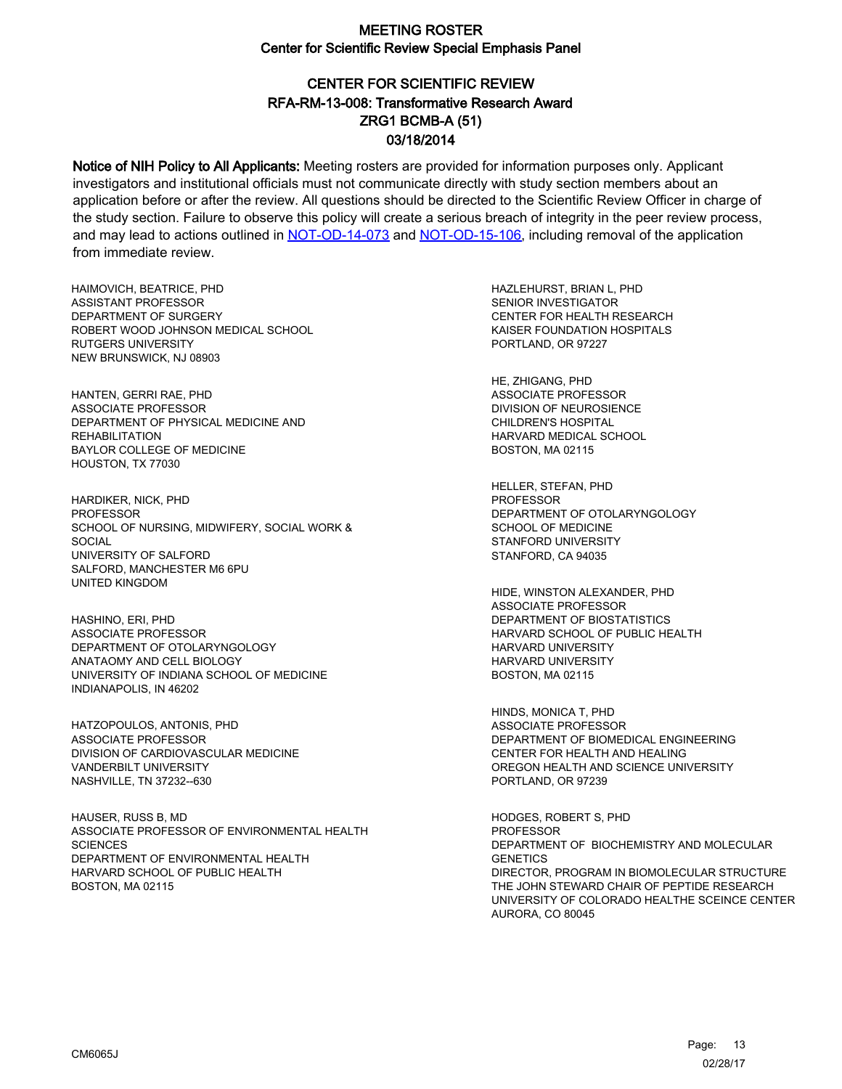# CENTER FOR SCIENTIFIC REVIEW ZRG1 BCMB-A (51) 03/18/2014 RFA-RM-13-008: Transformative Research Award

Notice of NIH Policy to All Applicants: Meeting rosters are provided for information purposes only. Applicant investigators and institutional officials must not communicate directly with study section members about an application before or after the review. All questions should be directed to the Scientific Review Officer in charge of the study section. Failure to observe this policy will create a serious breach of integrity in the peer review process, and may lead to actions outlined in [NOT-OD-14-073](https://grants.nih.gov/grants/guide/notice-files/NOT-OD-14-073.html) and [NOT-OD-15-106,](https://grants.nih.gov/grants/guide/notice-files/NOT-OD-15-106.html) including removal of the application from immediate review.

HAIMOVICH, BEATRICE, PHD ASSISTANT PROFESSOR DEPARTMENT OF SURGERY ROBERT WOOD JOHNSON MEDICAL SCHOOL RUTGERS UNIVERSITY NEW BRUNSWICK, NJ 08903

HANTEN, GERRI RAE, PHD ASSOCIATE PROFESSOR DEPARTMENT OF PHYSICAL MEDICINE AND **REHABILITATION** BAYLOR COLLEGE OF MEDICINE HOUSTON, TX 77030

HARDIKER, NICK, PHD **PROFESSOR** SCHOOL OF NURSING, MIDWIFERY, SOCIAL WORK & **SOCIAL** UNIVERSITY OF SALFORD SALFORD, MANCHESTER M6 6PU UNITED KINGDOM

HASHINO, ERI, PHD ASSOCIATE PROFESSOR DEPARTMENT OF OTOLARYNGOLOGY ANATAOMY AND CELL BIOLOGY UNIVERSITY OF INDIANA SCHOOL OF MEDICINE INDIANAPOLIS, IN 46202

HATZOPOULOS, ANTONIS, PHD ASSOCIATE PROFESSOR DIVISION OF CARDIOVASCULAR MEDICINE VANDERBILT UNIVERSITY NASHVILLE, TN 37232--630

HAUSER, RUSS B, MD ASSOCIATE PROFESSOR OF ENVIRONMENTAL HEALTH **SCIENCES** DEPARTMENT OF ENVIRONMENTAL HEALTH HARVARD SCHOOL OF PUBLIC HEALTH BOSTON, MA 02115

HAZLEHURST, BRIAN L, PHD SENIOR INVESTIGATOR CENTER FOR HEALTH RESEARCH KAISER FOUNDATION HOSPITALS PORTLAND, OR 97227

HE, ZHIGANG, PHD ASSOCIATE PROFESSOR DIVISION OF NEUROSIENCE CHILDREN'S HOSPITAL HARVARD MEDICAL SCHOOL BOSTON, MA 02115

HELLER, STEFAN, PHD PROFESSOR DEPARTMENT OF OTOLARYNGOLOGY SCHOOL OF MEDICINE STANFORD UNIVERSITY STANFORD, CA 94035

HIDE, WINSTON ALEXANDER, PHD ASSOCIATE PROFESSOR DEPARTMENT OF BIOSTATISTICS HARVARD SCHOOL OF PUBLIC HEALTH HARVARD UNIVERSITY HARVARD UNIVERSITY BOSTON, MA 02115

HINDS, MONICA T, PHD ASSOCIATE PROFESSOR DEPARTMENT OF BIOMEDICAL ENGINEERING CENTER FOR HEALTH AND HEALING OREGON HEALTH AND SCIENCE UNIVERSITY PORTLAND, OR 97239

HODGES, ROBERT S, PHD **PROFESSOR** DEPARTMENT OF BIOCHEMISTRY AND MOLECULAR **GENETICS** DIRECTOR, PROGRAM IN BIOMOLECULAR STRUCTURE THE JOHN STEWARD CHAIR OF PEPTIDE RESEARCH UNIVERSITY OF COLORADO HEALTHE SCEINCE CENTER AURORA, CO 80045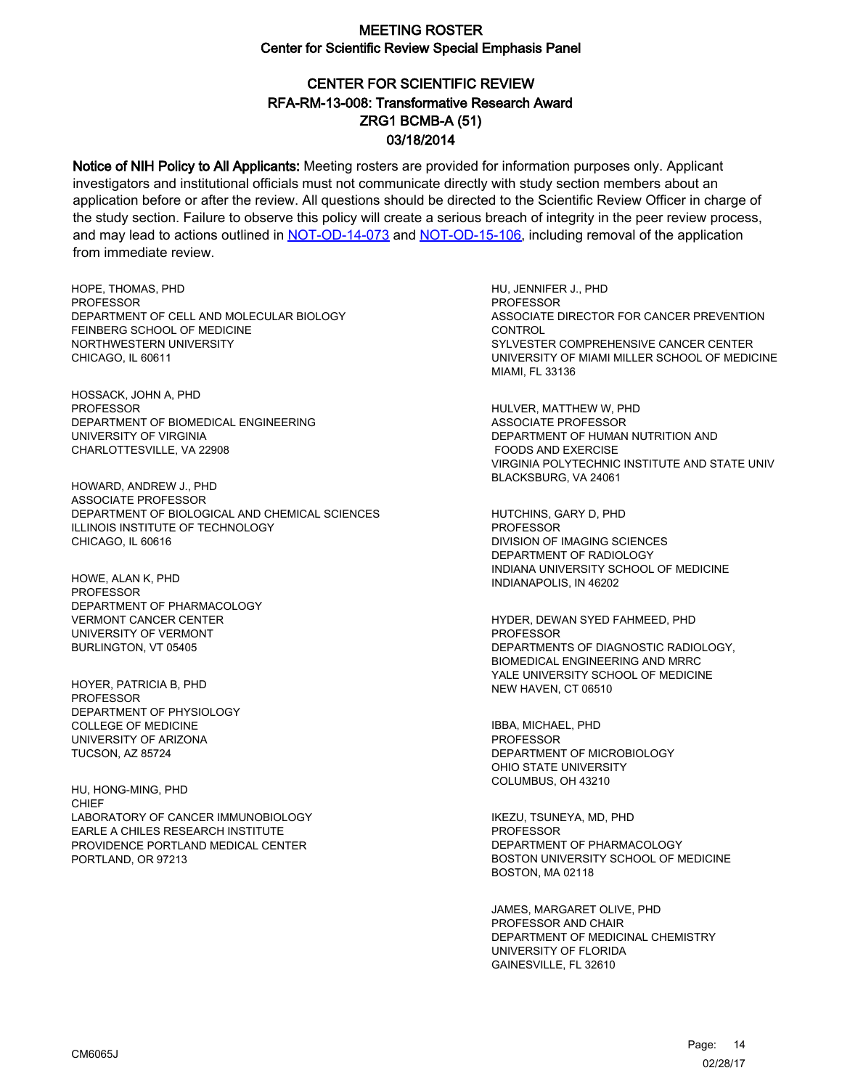# CENTER FOR SCIENTIFIC REVIEW ZRG1 BCMB-A (51) 03/18/2014 RFA-RM-13-008: Transformative Research Award

Notice of NIH Policy to All Applicants: Meeting rosters are provided for information purposes only. Applicant investigators and institutional officials must not communicate directly with study section members about an application before or after the review. All questions should be directed to the Scientific Review Officer in charge of the study section. Failure to observe this policy will create a serious breach of integrity in the peer review process, and may lead to actions outlined in [NOT-OD-14-073](https://grants.nih.gov/grants/guide/notice-files/NOT-OD-14-073.html) and [NOT-OD-15-106,](https://grants.nih.gov/grants/guide/notice-files/NOT-OD-15-106.html) including removal of the application from immediate review.

HOPE, THOMAS, PHD PROFESSOR DEPARTMENT OF CELL AND MOLECULAR BIOLOGY FEINBERG SCHOOL OF MEDICINE NORTHWESTERN UNIVERSITY CHICAGO, IL 60611

HOSSACK, JOHN A, PHD PROFESSOR DEPARTMENT OF BIOMEDICAL ENGINEERING UNIVERSITY OF VIRGINIA CHARLOTTESVILLE, VA 22908

HOWARD, ANDREW J., PHD ASSOCIATE PROFESSOR DEPARTMENT OF BIOLOGICAL AND CHEMICAL SCIENCES ILLINOIS INSTITUTE OF TECHNOLOGY CHICAGO, IL 60616

HOWE, ALAN K, PHD PROFESSOR DEPARTMENT OF PHARMACOLOGY VERMONT CANCER CENTER UNIVERSITY OF VERMONT BURLINGTON, VT 05405

HOYER, PATRICIA B, PHD PROFESSOR DEPARTMENT OF PHYSIOLOGY COLLEGE OF MEDICINE UNIVERSITY OF ARIZONA TUCSON, AZ 85724

HU, HONG-MING, PHD CHIEF LABORATORY OF CANCER IMMUNOBIOLOGY EARLE A CHILES RESEARCH INSTITUTE PROVIDENCE PORTLAND MEDICAL CENTER PORTLAND, OR 97213

HU, JENNIFER J., PHD PROFESSOR ASSOCIATE DIRECTOR FOR CANCER PREVENTION **CONTROL** SYLVESTER COMPREHENSIVE CANCER CENTER UNIVERSITY OF MIAMI MILLER SCHOOL OF MEDICINE MIAMI, FL 33136

HULVER, MATTHEW W, PHD ASSOCIATE PROFESSOR DEPARTMENT OF HUMAN NUTRITION AND FOODS AND EXERCISE VIRGINIA POLYTECHNIC INSTITUTE AND STATE UNIV BLACKSBURG, VA 24061

HUTCHINS, GARY D, PHD **PROFESSOR** DIVISION OF IMAGING SCIENCES DEPARTMENT OF RADIOLOGY INDIANA UNIVERSITY SCHOOL OF MEDICINE INDIANAPOLIS, IN 46202

HYDER, DEWAN SYED FAHMEED, PHD PROFESSOR DEPARTMENTS OF DIAGNOSTIC RADIOLOGY, BIOMEDICAL ENGINEERING AND MRRC YALE UNIVERSITY SCHOOL OF MEDICINE NEW HAVEN, CT 06510

IBBA, MICHAEL, PHD PROFESSOR DEPARTMENT OF MICROBIOLOGY OHIO STATE UNIVERSITY COLUMBUS, OH 43210

IKEZU, TSUNEYA, MD, PHD **PROFESSOR** DEPARTMENT OF PHARMACOLOGY BOSTON UNIVERSITY SCHOOL OF MEDICINE BOSTON, MA 02118

JAMES, MARGARET OLIVE, PHD PROFESSOR AND CHAIR DEPARTMENT OF MEDICINAL CHEMISTRY UNIVERSITY OF FLORIDA GAINESVILLE, FL 32610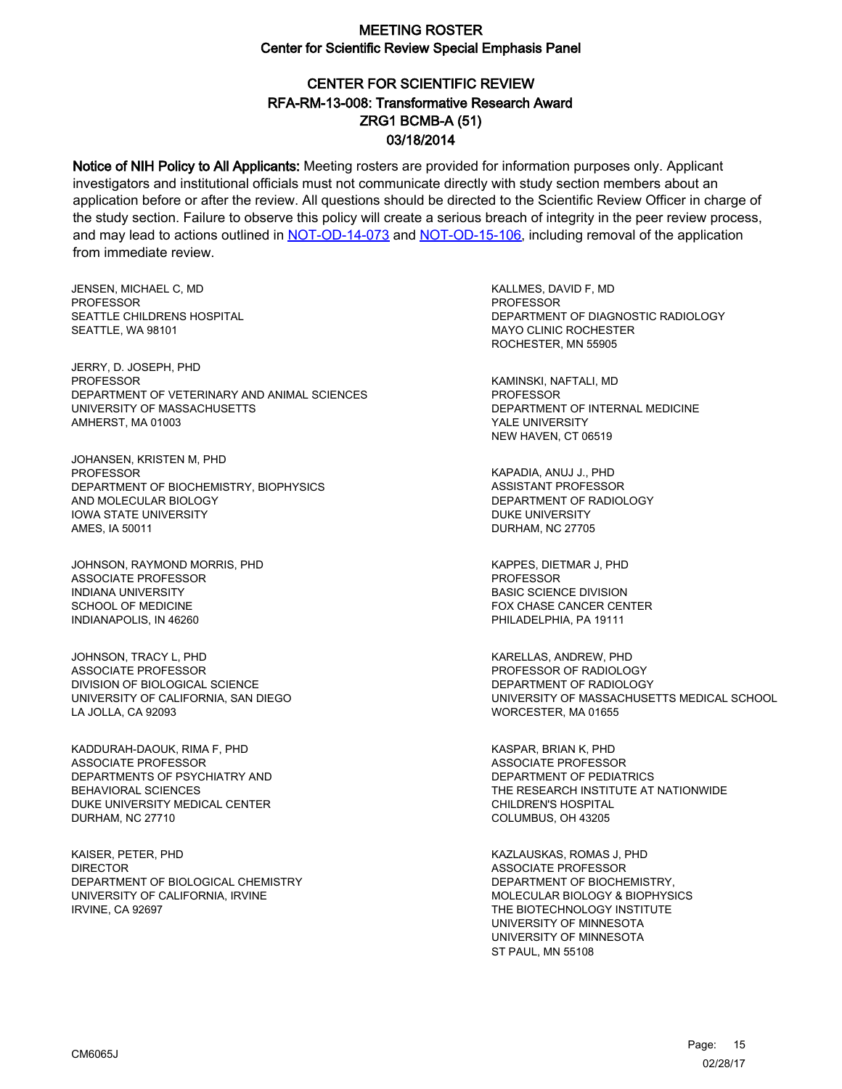# CENTER FOR SCIENTIFIC REVIEW ZRG1 BCMB-A (51) 03/18/2014 RFA-RM-13-008: Transformative Research Award

Notice of NIH Policy to All Applicants: Meeting rosters are provided for information purposes only. Applicant investigators and institutional officials must not communicate directly with study section members about an application before or after the review. All questions should be directed to the Scientific Review Officer in charge of the study section. Failure to observe this policy will create a serious breach of integrity in the peer review process, and may lead to actions outlined in [NOT-OD-14-073](https://grants.nih.gov/grants/guide/notice-files/NOT-OD-14-073.html) and [NOT-OD-15-106,](https://grants.nih.gov/grants/guide/notice-files/NOT-OD-15-106.html) including removal of the application from immediate review.

JENSEN, MICHAEL C, MD **PROFESSOR** SEATTLE CHILDRENS HOSPITAL SEATTLE, WA 98101

JERRY, D. JOSEPH, PHD PROFESSOR DEPARTMENT OF VETERINARY AND ANIMAL SCIENCES UNIVERSITY OF MASSACHUSETTS AMHERST, MA 01003

JOHANSEN, KRISTEN M, PHD PROFESSOR DEPARTMENT OF BIOCHEMISTRY, BIOPHYSICS AND MOLECULAR BIOLOGY IOWA STATE UNIVERSITY AMES, IA 50011

JOHNSON, RAYMOND MORRIS, PHD ASSOCIATE PROFESSOR INDIANA UNIVERSITY SCHOOL OF MEDICINE INDIANAPOLIS, IN 46260

JOHNSON, TRACY L, PHD ASSOCIATE PROFESSOR DIVISION OF BIOLOGICAL SCIENCE UNIVERSITY OF CALIFORNIA, SAN DIEGO LA JOLLA, CA 92093

KADDURAH-DAOUK, RIMA F, PHD ASSOCIATE PROFESSOR DEPARTMENTS OF PSYCHIATRY AND BEHAVIORAL SCIENCES DUKE UNIVERSITY MEDICAL CENTER DURHAM, NC 27710

KAISER, PETER, PHD DIRECTOR DEPARTMENT OF BIOLOGICAL CHEMISTRY UNIVERSITY OF CALIFORNIA, IRVINE IRVINE, CA 92697

KALLMES, DAVID F, MD PROFESSOR DEPARTMENT OF DIAGNOSTIC RADIOLOGY MAYO CLINIC ROCHESTER ROCHESTER, MN 55905

KAMINSKI, NAFTALI, MD PROFESSOR DEPARTMENT OF INTERNAL MEDICINE YALE UNIVERSITY NEW HAVEN, CT 06519

KAPADIA, ANUJ J., PHD ASSISTANT PROFESSOR DEPARTMENT OF RADIOLOGY DUKE UNIVERSITY DURHAM, NC 27705

KAPPES, DIETMAR J, PHD **PROFESSOR** BASIC SCIENCE DIVISION FOX CHASE CANCER CENTER PHILADELPHIA, PA 19111

KARELLAS, ANDREW, PHD PROFESSOR OF RADIOLOGY DEPARTMENT OF RADIOLOGY UNIVERSITY OF MASSACHUSETTS MEDICAL SCHOOL WORCESTER, MA 01655

KASPAR, BRIAN K, PHD ASSOCIATE PROFESSOR DEPARTMENT OF PEDIATRICS THE RESEARCH INSTITUTE AT NATIONWIDE CHILDREN'S HOSPITAL COLUMBUS, OH 43205

KAZLAUSKAS, ROMAS J, PHD ASSOCIATE PROFESSOR DEPARTMENT OF BIOCHEMISTRY, MOLECULAR BIOLOGY & BIOPHYSICS THE BIOTECHNOLOGY INSTITUTE UNIVERSITY OF MINNESOTA UNIVERSITY OF MINNESOTA ST PAUL, MN 55108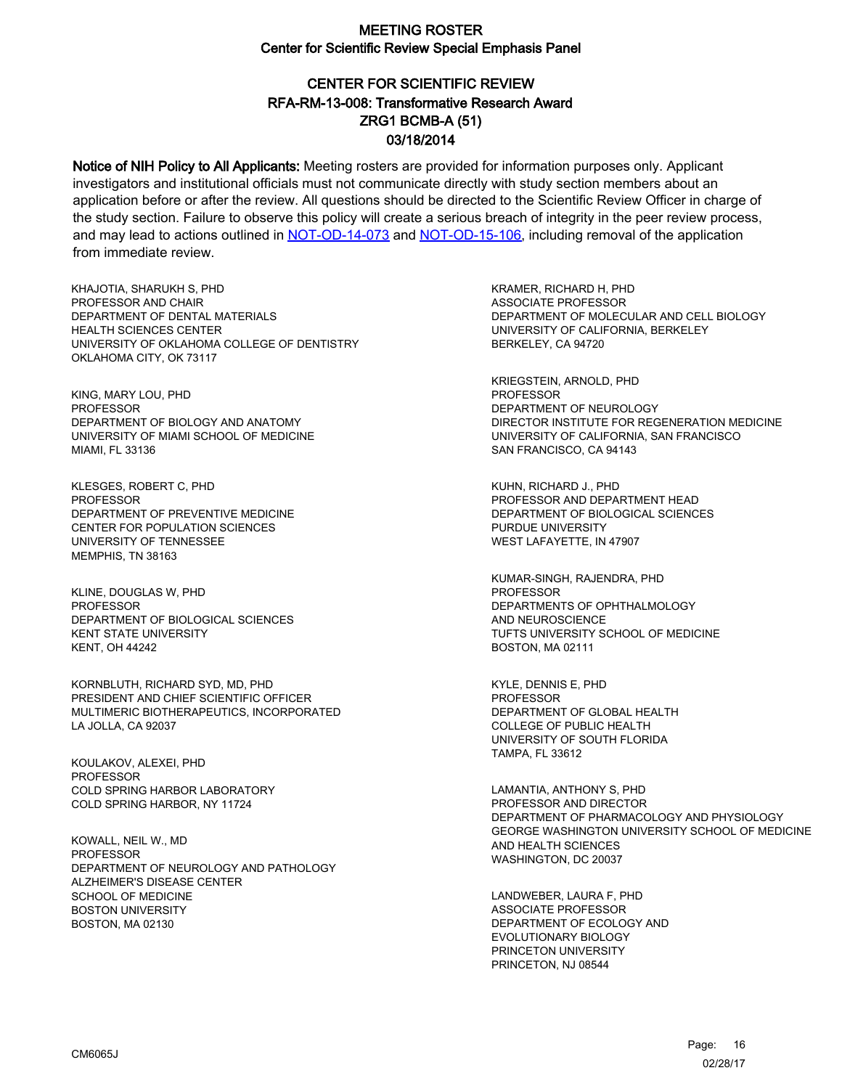# CENTER FOR SCIENTIFIC REVIEW ZRG1 BCMB-A (51) 03/18/2014 RFA-RM-13-008: Transformative Research Award

Notice of NIH Policy to All Applicants: Meeting rosters are provided for information purposes only. Applicant investigators and institutional officials must not communicate directly with study section members about an application before or after the review. All questions should be directed to the Scientific Review Officer in charge of the study section. Failure to observe this policy will create a serious breach of integrity in the peer review process, and may lead to actions outlined in [NOT-OD-14-073](https://grants.nih.gov/grants/guide/notice-files/NOT-OD-14-073.html) and [NOT-OD-15-106,](https://grants.nih.gov/grants/guide/notice-files/NOT-OD-15-106.html) including removal of the application from immediate review.

KHAJOTIA, SHARUKH S, PHD PROFESSOR AND CHAIR DEPARTMENT OF DENTAL MATERIALS HEALTH SCIENCES CENTER UNIVERSITY OF OKLAHOMA COLLEGE OF DENTISTRY OKLAHOMA CITY, OK 73117

KING, MARY LOU, PHD PROFESSOR DEPARTMENT OF BIOLOGY AND ANATOMY UNIVERSITY OF MIAMI SCHOOL OF MEDICINE MIAMI, FL 33136

KLESGES, ROBERT C, PHD PROFESSOR DEPARTMENT OF PREVENTIVE MEDICINE CENTER FOR POPULATION SCIENCES UNIVERSITY OF TENNESSEE MEMPHIS, TN 38163

KLINE, DOUGLAS W, PHD PROFESSOR DEPARTMENT OF BIOLOGICAL SCIENCES KENT STATE UNIVERSITY KENT, OH 44242

KORNBLUTH, RICHARD SYD, MD, PHD PRESIDENT AND CHIEF SCIENTIFIC OFFICER MULTIMERIC BIOTHERAPEUTICS, INCORPORATED LA JOLLA, CA 92037

KOULAKOV, ALEXEI, PHD PROFESSOR COLD SPRING HARBOR LABORATORY COLD SPRING HARBOR, NY 11724

KOWALL, NEIL W., MD **PROFESSOR** DEPARTMENT OF NEUROLOGY AND PATHOLOGY ALZHEIMER'S DISEASE CENTER SCHOOL OF MEDICINE BOSTON UNIVERSITY BOSTON, MA 02130

KRAMER, RICHARD H, PHD ASSOCIATE PROFESSOR DEPARTMENT OF MOLECULAR AND CELL BIOLOGY UNIVERSITY OF CALIFORNIA, BERKELEY BERKELEY, CA 94720

KRIEGSTEIN, ARNOLD, PHD PROFESSOR DEPARTMENT OF NEUROLOGY DIRECTOR INSTITUTE FOR REGENERATION MEDICINE UNIVERSITY OF CALIFORNIA, SAN FRANCISCO SAN FRANCISCO, CA 94143

KUHN, RICHARD J., PHD PROFESSOR AND DEPARTMENT HEAD DEPARTMENT OF BIOLOGICAL SCIENCES PURDUE UNIVERSITY WEST LAFAYETTE, IN 47907

KUMAR-SINGH, RAJENDRA, PHD PROFESSOR DEPARTMENTS OF OPHTHALMOLOGY AND NEUROSCIENCE TUFTS UNIVERSITY SCHOOL OF MEDICINE BOSTON, MA 02111

KYLE, DENNIS E, PHD PROFESSOR DEPARTMENT OF GLOBAL HEALTH COLLEGE OF PUBLIC HEALTH UNIVERSITY OF SOUTH FLORIDA TAMPA, FL 33612

LAMANTIA, ANTHONY S, PHD PROFESSOR AND DIRECTOR DEPARTMENT OF PHARMACOLOGY AND PHYSIOLOGY GEORGE WASHINGTON UNIVERSITY SCHOOL OF MEDICINE AND HEALTH SCIENCES WASHINGTON, DC 20037

LANDWEBER, LAURA F, PHD ASSOCIATE PROFESSOR DEPARTMENT OF ECOLOGY AND EVOLUTIONARY BIOLOGY PRINCETON UNIVERSITY PRINCETON, NJ 08544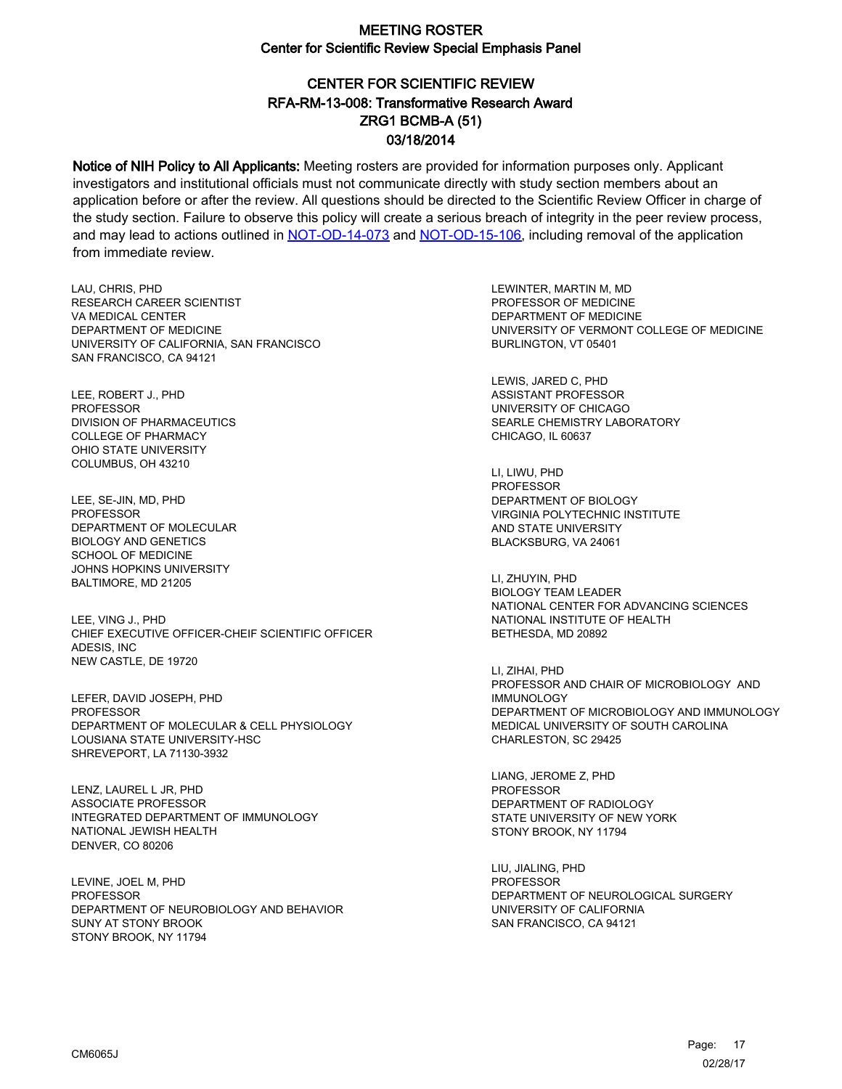# CENTER FOR SCIENTIFIC REVIEW ZRG1 BCMB-A (51) 03/18/2014 RFA-RM-13-008: Transformative Research Award

Notice of NIH Policy to All Applicants: Meeting rosters are provided for information purposes only. Applicant investigators and institutional officials must not communicate directly with study section members about an application before or after the review. All questions should be directed to the Scientific Review Officer in charge of the study section. Failure to observe this policy will create a serious breach of integrity in the peer review process, and may lead to actions outlined in [NOT-OD-14-073](https://grants.nih.gov/grants/guide/notice-files/NOT-OD-14-073.html) and [NOT-OD-15-106,](https://grants.nih.gov/grants/guide/notice-files/NOT-OD-15-106.html) including removal of the application from immediate review.

LAU, CHRIS, PHD RESEARCH CAREER SCIENTIST VA MEDICAL CENTER DEPARTMENT OF MEDICINE UNIVERSITY OF CALIFORNIA, SAN FRANCISCO SAN FRANCISCO, CA 94121

LEE, ROBERT J., PHD PROFESSOR DIVISION OF PHARMACEUTICS COLLEGE OF PHARMACY OHIO STATE UNIVERSITY COLUMBUS, OH 43210

LEE, SE-JIN, MD, PHD **PROFESSOR** DEPARTMENT OF MOLECULAR BIOLOGY AND GENETICS SCHOOL OF MEDICINE JOHNS HOPKINS UNIVERSITY BALTIMORE, MD 21205

LEE, VING J., PHD CHIEF EXECUTIVE OFFICER-CHEIF SCIENTIFIC OFFICER ADESIS, INC NEW CASTLE, DE 19720

LEFER, DAVID JOSEPH, PHD PROFESSOR DEPARTMENT OF MOLECULAR & CELL PHYSIOLOGY LOUSIANA STATE UNIVERSITY-HSC SHREVEPORT, LA 71130-3932

LENZ, LAUREL L JR, PHD ASSOCIATE PROFESSOR INTEGRATED DEPARTMENT OF IMMUNOLOGY NATIONAL JEWISH HEALTH DENVER, CO 80206

LEVINE, JOEL M, PHD **PROFESSOR** DEPARTMENT OF NEUROBIOLOGY AND BEHAVIOR SUNY AT STONY BROOK STONY BROOK, NY 11794

LEWINTER, MARTIN M, MD PROFESSOR OF MEDICINE DEPARTMENT OF MEDICINE UNIVERSITY OF VERMONT COLLEGE OF MEDICINE BURLINGTON, VT 05401

LEWIS, JARED C, PHD ASSISTANT PROFESSOR UNIVERSITY OF CHICAGO SEARLE CHEMISTRY LABORATORY CHICAGO, IL 60637

LI, LIWU, PHD PROFESSOR DEPARTMENT OF BIOLOGY VIRGINIA POLYTECHNIC INSTITUTE AND STATE UNIVERSITY BLACKSBURG, VA 24061

LI, ZHUYIN, PHD BIOLOGY TEAM LEADER NATIONAL CENTER FOR ADVANCING SCIENCES NATIONAL INSTITUTE OF HEALTH BETHESDA, MD 20892

LI, ZIHAI, PHD PROFESSOR AND CHAIR OF MICROBIOLOGY AND IMMUNOLOGY DEPARTMENT OF MICROBIOLOGY AND IMMUNOLOGY MEDICAL UNIVERSITY OF SOUTH CAROLINA CHARLESTON, SC 29425

LIANG, JEROME Z, PHD PROFESSOR DEPARTMENT OF RADIOLOGY STATE UNIVERSITY OF NEW YORK STONY BROOK, NY 11794

LIU, JIALING, PHD PROFESSOR DEPARTMENT OF NEUROLOGICAL SURGERY UNIVERSITY OF CALIFORNIA SAN FRANCISCO, CA 94121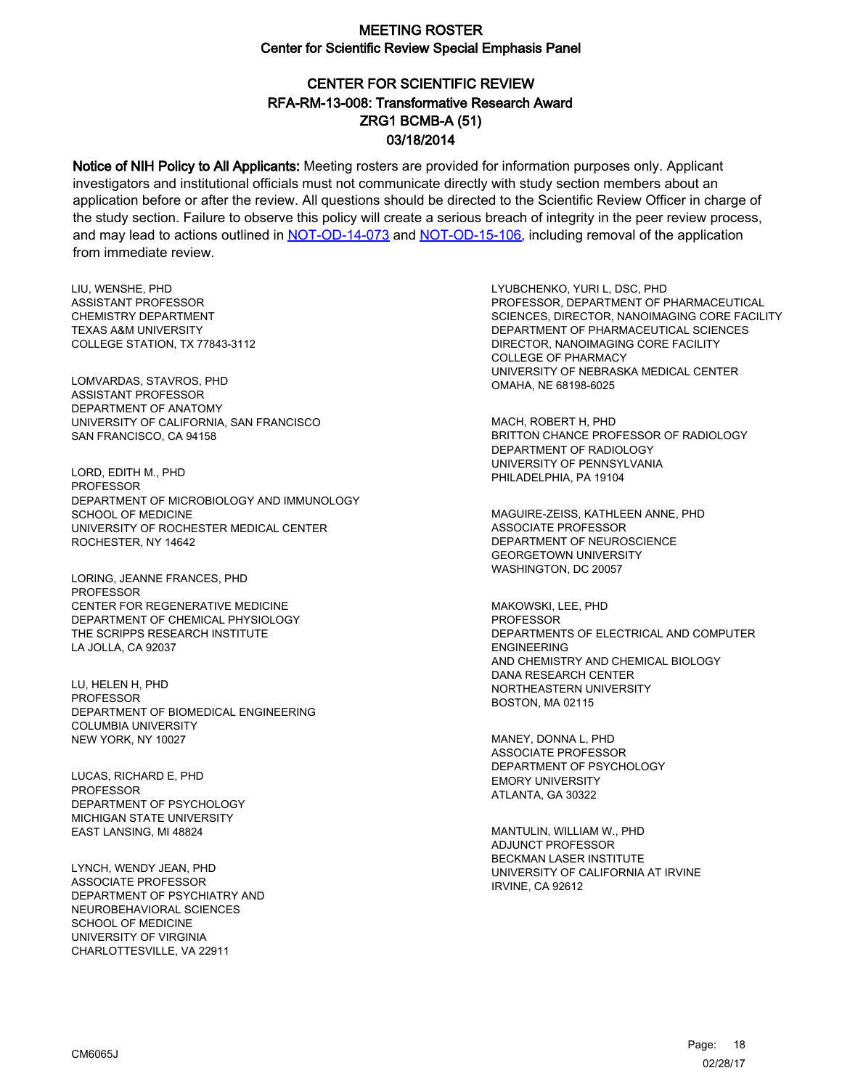# CENTER FOR SCIENTIFIC REVIEW ZRG1 BCMB-A (51) 03/18/2014 RFA-RM-13-008: Transformative Research Award

Notice of NIH Policy to All Applicants: Meeting rosters are provided for information purposes only. Applicant investigators and institutional officials must not communicate directly with study section members about an application before or after the review. All questions should be directed to the Scientific Review Officer in charge of the study section. Failure to observe this policy will create a serious breach of integrity in the peer review process, and may lead to actions outlined in [NOT-OD-14-073](https://grants.nih.gov/grants/guide/notice-files/NOT-OD-14-073.html) and [NOT-OD-15-106,](https://grants.nih.gov/grants/guide/notice-files/NOT-OD-15-106.html) including removal of the application from immediate review.

LIU, WENSHE, PHD ASSISTANT PROFESSOR CHEMISTRY DEPARTMENT TEXAS A&M UNIVERSITY COLLEGE STATION, TX 77843-3112

LOMVARDAS, STAVROS, PHD ASSISTANT PROFESSOR DEPARTMENT OF ANATOMY UNIVERSITY OF CALIFORNIA, SAN FRANCISCO SAN FRANCISCO, CA 94158

LORD, EDITH M., PHD **PROFESSOR** DEPARTMENT OF MICROBIOLOGY AND IMMUNOLOGY SCHOOL OF MEDICINE UNIVERSITY OF ROCHESTER MEDICAL CENTER ROCHESTER, NY 14642

LORING, JEANNE FRANCES, PHD PROFESSOR CENTER FOR REGENERATIVE MEDICINE DEPARTMENT OF CHEMICAL PHYSIOLOGY THE SCRIPPS RESEARCH INSTITUTE LA JOLLA, CA 92037

LU, HELEN H, PHD PROFESSOR DEPARTMENT OF BIOMEDICAL ENGINEERING COLUMBIA UNIVERSITY NEW YORK, NY 10027

LUCAS, RICHARD E, PHD **PROFESSOR** DEPARTMENT OF PSYCHOLOGY MICHIGAN STATE UNIVERSITY EAST LANSING, MI 48824

LYNCH, WENDY JEAN, PHD ASSOCIATE PROFESSOR DEPARTMENT OF PSYCHIATRY AND NEUROBEHAVIORAL SCIENCES SCHOOL OF MEDICINE UNIVERSITY OF VIRGINIA CHARLOTTESVILLE, VA 22911

LYUBCHENKO, YURI L, DSC, PHD PROFESSOR, DEPARTMENT OF PHARMACEUTICAL SCIENCES, DIRECTOR, NANOIMAGING CORE FACILITY DEPARTMENT OF PHARMACEUTICAL SCIENCES DIRECTOR, NANOIMAGING CORE FACILITY COLLEGE OF PHARMACY UNIVERSITY OF NEBRASKA MEDICAL CENTER OMAHA, NE 68198-6025

MACH, ROBERT H, PHD BRITTON CHANCE PROFESSOR OF RADIOLOGY DEPARTMENT OF RADIOLOGY UNIVERSITY OF PENNSYLVANIA PHILADELPHIA, PA 19104

MAGUIRE-ZEISS, KATHLEEN ANNE, PHD ASSOCIATE PROFESSOR DEPARTMENT OF NEUROSCIENCE GEORGETOWN UNIVERSITY WASHINGTON, DC 20057

MAKOWSKI, LEE, PHD PROFESSOR DEPARTMENTS OF ELECTRICAL AND COMPUTER ENGINEERING AND CHEMISTRY AND CHEMICAL BIOLOGY DANA RESEARCH CENTER NORTHEASTERN UNIVERSITY BOSTON, MA 02115

MANEY, DONNA L, PHD ASSOCIATE PROFESSOR DEPARTMENT OF PSYCHOLOGY EMORY UNIVERSITY ATLANTA, GA 30322

MANTULIN, WILLIAM W., PHD ADJUNCT PROFESSOR BECKMAN LASER INSTITUTE UNIVERSITY OF CALIFORNIA AT IRVINE IRVINE, CA 92612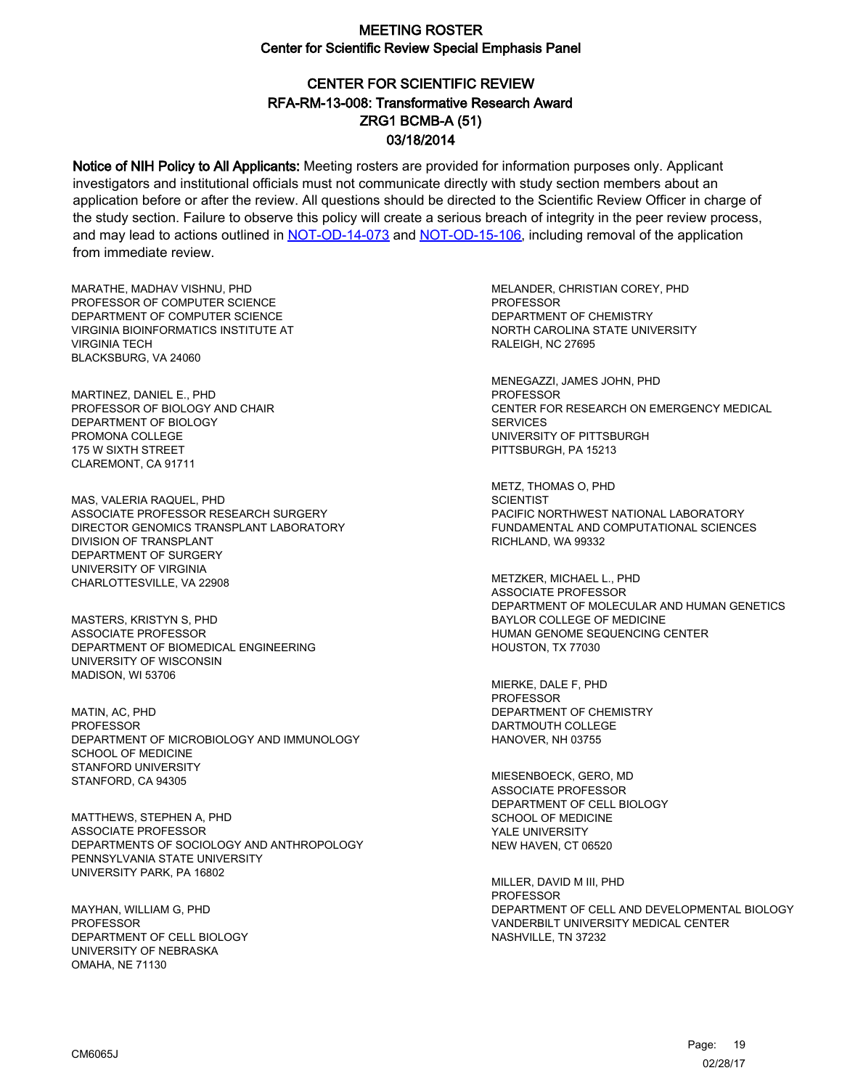# CENTER FOR SCIENTIFIC REVIEW ZRG1 BCMB-A (51) 03/18/2014 RFA-RM-13-008: Transformative Research Award

Notice of NIH Policy to All Applicants: Meeting rosters are provided for information purposes only. Applicant investigators and institutional officials must not communicate directly with study section members about an application before or after the review. All questions should be directed to the Scientific Review Officer in charge of the study section. Failure to observe this policy will create a serious breach of integrity in the peer review process, and may lead to actions outlined in [NOT-OD-14-073](https://grants.nih.gov/grants/guide/notice-files/NOT-OD-14-073.html) and [NOT-OD-15-106,](https://grants.nih.gov/grants/guide/notice-files/NOT-OD-15-106.html) including removal of the application from immediate review.

MARATHE, MADHAV VISHNU, PHD PROFESSOR OF COMPUTER SCIENCE DEPARTMENT OF COMPUTER SCIENCE VIRGINIA BIOINFORMATICS INSTITUTE AT VIRGINIA TECH BLACKSBURG, VA 24060

MARTINEZ, DANIEL E., PHD PROFESSOR OF BIOLOGY AND CHAIR DEPARTMENT OF BIOLOGY PROMONA COLLEGE 175 W SIXTH STREET CLAREMONT, CA 91711

MAS, VALERIA RAQUEL, PHD ASSOCIATE PROFESSOR RESEARCH SURGERY DIRECTOR GENOMICS TRANSPLANT LABORATORY DIVISION OF TRANSPLANT DEPARTMENT OF SURGERY UNIVERSITY OF VIRGINIA CHARLOTTESVILLE, VA 22908

MASTERS, KRISTYN S, PHD ASSOCIATE PROFESSOR DEPARTMENT OF BIOMEDICAL ENGINEERING UNIVERSITY OF WISCONSIN MADISON, WI 53706

MATIN, AC, PHD PROFESSOR DEPARTMENT OF MICROBIOLOGY AND IMMUNOLOGY SCHOOL OF MEDICINE STANFORD UNIVERSITY STANFORD, CA 94305

MATTHEWS, STEPHEN A, PHD ASSOCIATE PROFESSOR DEPARTMENTS OF SOCIOLOGY AND ANTHROPOLOGY PENNSYLVANIA STATE UNIVERSITY UNIVERSITY PARK, PA 16802

MAYHAN, WILLIAM G, PHD **PROFESSOR** DEPARTMENT OF CELL BIOLOGY UNIVERSITY OF NEBRASKA OMAHA, NE 71130

MELANDER, CHRISTIAN COREY, PHD PROFESSOR DEPARTMENT OF CHEMISTRY NORTH CAROLINA STATE UNIVERSITY RALEIGH, NC 27695

MENEGAZZI, JAMES JOHN, PHD PROFESSOR CENTER FOR RESEARCH ON EMERGENCY MEDICAL SERVICES UNIVERSITY OF PITTSBURGH PITTSBURGH, PA 15213

METZ, THOMAS O, PHD **SCIENTIST** PACIFIC NORTHWEST NATIONAL LABORATORY FUNDAMENTAL AND COMPUTATIONAL SCIENCES RICHLAND, WA 99332

METZKER, MICHAEL L., PHD ASSOCIATE PROFESSOR DEPARTMENT OF MOLECULAR AND HUMAN GENETICS BAYLOR COLLEGE OF MEDICINE HUMAN GENOME SEQUENCING CENTER HOUSTON, TX 77030

MIERKE, DALE F, PHD PROFESSOR DEPARTMENT OF CHEMISTRY DARTMOUTH COLLEGE HANOVER, NH 03755

MIESENBOECK, GERO, MD ASSOCIATE PROFESSOR DEPARTMENT OF CELL BIOLOGY SCHOOL OF MEDICINE YALE UNIVERSITY NEW HAVEN, CT 06520

MILLER, DAVID M III, PHD **PROFESSOR** DEPARTMENT OF CELL AND DEVELOPMENTAL BIOLOGY VANDERBILT UNIVERSITY MEDICAL CENTER NASHVILLE, TN 37232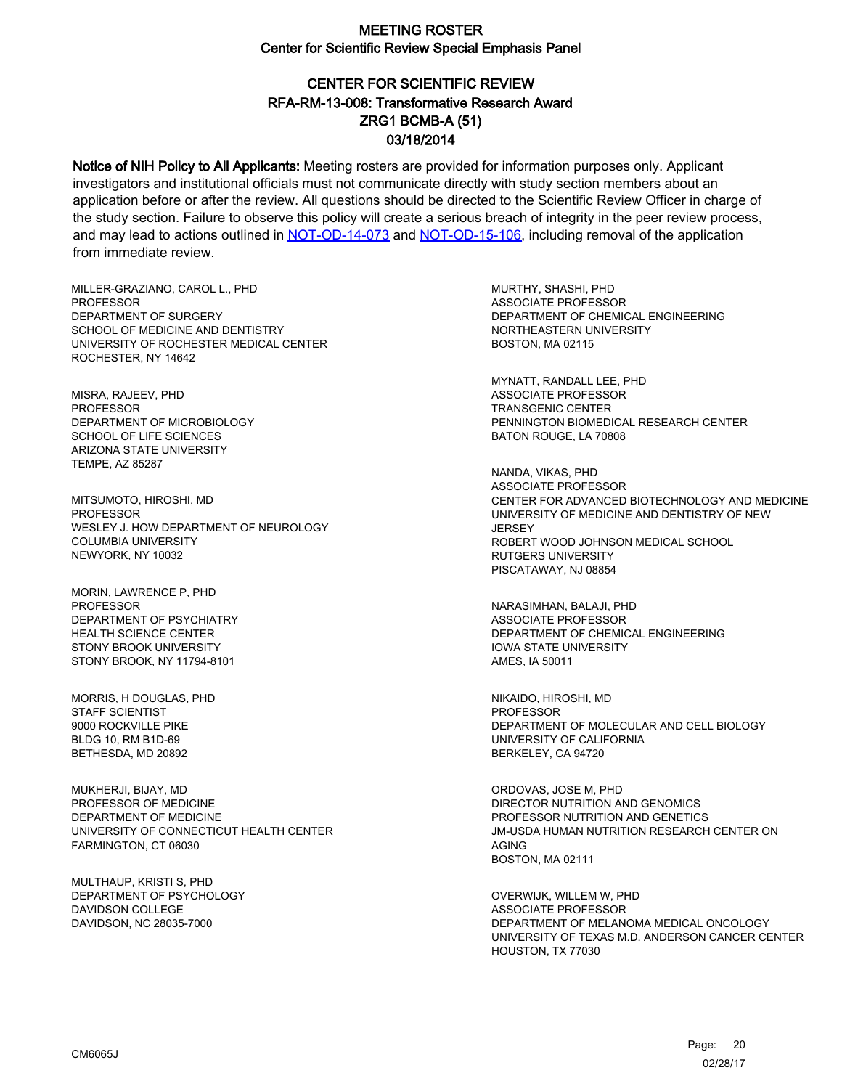# CENTER FOR SCIENTIFIC REVIEW ZRG1 BCMB-A (51) 03/18/2014 RFA-RM-13-008: Transformative Research Award

Notice of NIH Policy to All Applicants: Meeting rosters are provided for information purposes only. Applicant investigators and institutional officials must not communicate directly with study section members about an application before or after the review. All questions should be directed to the Scientific Review Officer in charge of the study section. Failure to observe this policy will create a serious breach of integrity in the peer review process, and may lead to actions outlined in [NOT-OD-14-073](https://grants.nih.gov/grants/guide/notice-files/NOT-OD-14-073.html) and [NOT-OD-15-106,](https://grants.nih.gov/grants/guide/notice-files/NOT-OD-15-106.html) including removal of the application from immediate review.

MILLER-GRAZIANO, CAROL L., PHD **PROFESSOR** DEPARTMENT OF SURGERY SCHOOL OF MEDICINE AND DENTISTRY UNIVERSITY OF ROCHESTER MEDICAL CENTER ROCHESTER, NY 14642

MISRA, RAJEEV, PHD PROFESSOR DEPARTMENT OF MICROBIOLOGY SCHOOL OF LIFE SCIENCES ARIZONA STATE UNIVERSITY TEMPE, AZ 85287

MITSUMOTO, HIROSHI, MD **PROFESSOR** WESLEY J. HOW DEPARTMENT OF NEUROLOGY COLUMBIA UNIVERSITY NEWYORK, NY 10032

MORIN, LAWRENCE P, PHD PROFESSOR DEPARTMENT OF PSYCHIATRY HEALTH SCIENCE CENTER STONY BROOK UNIVERSITY STONY BROOK, NY 11794-8101

MORRIS, H DOUGLAS, PHD STAFF SCIENTIST 9000 ROCKVILLE PIKE BLDG 10, RM B1D-69 BETHESDA, MD 20892

MUKHERJI, BIJAY, MD PROFESSOR OF MEDICINE DEPARTMENT OF MEDICINE UNIVERSITY OF CONNECTICUT HEALTH CENTER FARMINGTON, CT 06030

MULTHAUP, KRISTI S, PHD DEPARTMENT OF PSYCHOLOGY DAVIDSON COLLEGE DAVIDSON, NC 28035-7000

MURTHY, SHASHI, PHD ASSOCIATE PROFESSOR DEPARTMENT OF CHEMICAL ENGINEERING NORTHEASTERN UNIVERSITY BOSTON, MA 02115

MYNATT, RANDALL LEE, PHD ASSOCIATE PROFESSOR TRANSGENIC CENTER PENNINGTON BIOMEDICAL RESEARCH CENTER BATON ROUGE, LA 70808

NANDA, VIKAS, PHD ASSOCIATE PROFESSOR CENTER FOR ADVANCED BIOTECHNOLOGY AND MEDICINE UNIVERSITY OF MEDICINE AND DENTISTRY OF NEW **JERSEY** ROBERT WOOD JOHNSON MEDICAL SCHOOL RUTGERS UNIVERSITY PISCATAWAY, NJ 08854

NARASIMHAN, BALAJI, PHD ASSOCIATE PROFESSOR DEPARTMENT OF CHEMICAL ENGINEERING IOWA STATE UNIVERSITY AMES, IA 50011

NIKAIDO, HIROSHI, MD PROFESSOR DEPARTMENT OF MOLECULAR AND CELL BIOLOGY UNIVERSITY OF CALIFORNIA BERKELEY, CA 94720

ORDOVAS, JOSE M, PHD DIRECTOR NUTRITION AND GENOMICS PROFESSOR NUTRITION AND GENETICS JM-USDA HUMAN NUTRITION RESEARCH CENTER ON AGING BOSTON, MA 02111

OVERWIJK, WILLEM W, PHD ASSOCIATE PROFESSOR DEPARTMENT OF MELANOMA MEDICAL ONCOLOGY UNIVERSITY OF TEXAS M.D. ANDERSON CANCER CENTER HOUSTON, TX 77030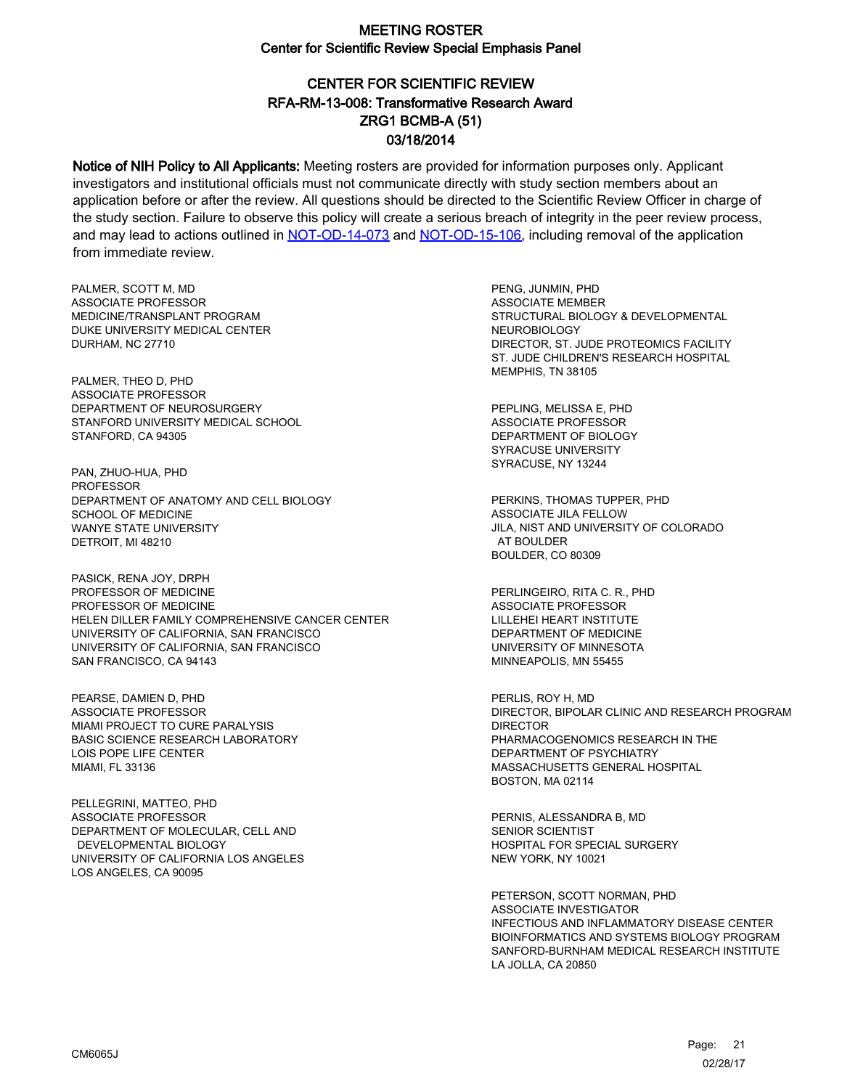# CENTER FOR SCIENTIFIC REVIEW ZRG1 BCMB-A (51) 03/18/2014 RFA-RM-13-008: Transformative Research Award

Notice of NIH Policy to All Applicants: Meeting rosters are provided for information purposes only. Applicant investigators and institutional officials must not communicate directly with study section members about an application before or after the review. All questions should be directed to the Scientific Review Officer in charge of the study section. Failure to observe this policy will create a serious breach of integrity in the peer review process, and may lead to actions outlined in [NOT-OD-14-073](https://grants.nih.gov/grants/guide/notice-files/NOT-OD-14-073.html) and [NOT-OD-15-106,](https://grants.nih.gov/grants/guide/notice-files/NOT-OD-15-106.html) including removal of the application from immediate review.

PALMER, SCOTT M, MD ASSOCIATE PROFESSOR MEDICINE/TRANSPLANT PROGRAM DUKE UNIVERSITY MEDICAL CENTER DURHAM, NC 27710

PALMER, THEO D, PHD ASSOCIATE PROFESSOR DEPARTMENT OF NEUROSURGERY STANFORD UNIVERSITY MEDICAL SCHOOL STANFORD, CA 94305

PAN, ZHUO-HUA, PHD PROFESSOR DEPARTMENT OF ANATOMY AND CELL BIOLOGY SCHOOL OF MEDICINE WANYE STATE UNIVERSITY DETROIT, MI 48210

PASICK, RENA JOY, DRPH PROFESSOR OF MEDICINE PROFESSOR OF MEDICINE HELEN DILLER FAMILY COMPREHENSIVE CANCER CENTER UNIVERSITY OF CALIFORNIA, SAN FRANCISCO UNIVERSITY OF CALIFORNIA, SAN FRANCISCO SAN FRANCISCO, CA 94143

PEARSE, DAMIEN D, PHD ASSOCIATE PROFESSOR MIAMI PROJECT TO CURE PARALYSIS BASIC SCIENCE RESEARCH LABORATORY LOIS POPE LIFE CENTER MIAMI, FL 33136

PELLEGRINI, MATTEO, PHD ASSOCIATE PROFESSOR DEPARTMENT OF MOLECULAR, CELL AND DEVELOPMENTAL BIOLOGY UNIVERSITY OF CALIFORNIA LOS ANGELES LOS ANGELES, CA 90095

PENG, JUNMIN, PHD ASSOCIATE MEMBER STRUCTURAL BIOLOGY & DEVELOPMENTAL NEUROBIOLOGY DIRECTOR, ST. JUDE PROTEOMICS FACILITY ST. JUDE CHILDREN'S RESEARCH HOSPITAL MEMPHIS, TN 38105

PEPLING, MELISSA E, PHD ASSOCIATE PROFESSOR DEPARTMENT OF BIOLOGY SYRACUSE UNIVERSITY SYRACUSE, NY 13244

PERKINS, THOMAS TUPPER, PHD ASSOCIATE JILA FELLOW JILA, NIST AND UNIVERSITY OF COLORADO AT BOULDER BOULDER, CO 80309

PERLINGEIRO, RITA C. R., PHD ASSOCIATE PROFESSOR LILLEHEI HEART INSTITUTE DEPARTMENT OF MEDICINE UNIVERSITY OF MINNESOTA MINNEAPOLIS, MN 55455

PERLIS, ROY H, MD DIRECTOR, BIPOLAR CLINIC AND RESEARCH PROGRAM DIRECTOR PHARMACOGENOMICS RESEARCH IN THE DEPARTMENT OF PSYCHIATRY MASSACHUSETTS GENERAL HOSPITAL BOSTON, MA 02114

PERNIS, ALESSANDRA B, MD SENIOR SCIENTIST HOSPITAL FOR SPECIAL SURGERY NEW YORK, NY 10021

PETERSON, SCOTT NORMAN, PHD ASSOCIATE INVESTIGATOR INFECTIOUS AND INFLAMMATORY DISEASE CENTER BIOINFORMATICS AND SYSTEMS BIOLOGY PROGRAM SANFORD-BURNHAM MEDICAL RESEARCH INSTITUTE LA JOLLA, CA 20850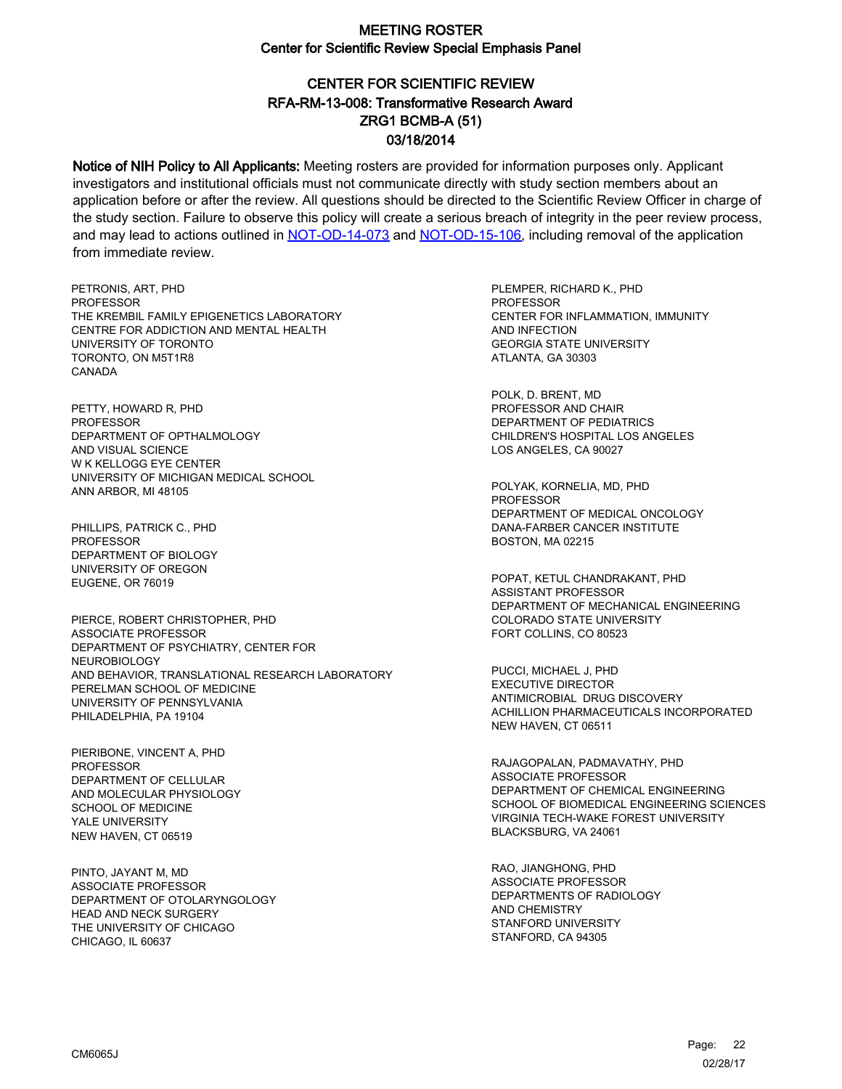# CENTER FOR SCIENTIFIC REVIEW ZRG1 BCMB-A (51) 03/18/2014 RFA-RM-13-008: Transformative Research Award

Notice of NIH Policy to All Applicants: Meeting rosters are provided for information purposes only. Applicant investigators and institutional officials must not communicate directly with study section members about an application before or after the review. All questions should be directed to the Scientific Review Officer in charge of the study section. Failure to observe this policy will create a serious breach of integrity in the peer review process, and may lead to actions outlined in [NOT-OD-14-073](https://grants.nih.gov/grants/guide/notice-files/NOT-OD-14-073.html) and [NOT-OD-15-106,](https://grants.nih.gov/grants/guide/notice-files/NOT-OD-15-106.html) including removal of the application from immediate review.

PETRONIS, ART, PHD PROFESSOR THE KREMBIL FAMILY EPIGENETICS LABORATORY CENTRE FOR ADDICTION AND MENTAL HEALTH UNIVERSITY OF TORONTO TORONTO, ON M5T1R8 CANADA

PETTY, HOWARD R, PHD PROFESSOR DEPARTMENT OF OPTHALMOLOGY AND VISUAL SCIENCE W K KELLOGG EYE CENTER UNIVERSITY OF MICHIGAN MEDICAL SCHOOL ANN ARBOR, MI 48105

PHILLIPS, PATRICK C., PHD PROFESSOR DEPARTMENT OF BIOLOGY UNIVERSITY OF OREGON EUGENE, OR 76019

PIERCE, ROBERT CHRISTOPHER, PHD ASSOCIATE PROFESSOR DEPARTMENT OF PSYCHIATRY, CENTER FOR NEUROBIOLOGY AND BEHAVIOR, TRANSLATIONAL RESEARCH LABORATORY PERELMAN SCHOOL OF MEDICINE UNIVERSITY OF PENNSYLVANIA PHILADELPHIA, PA 19104

PIERIBONE, VINCENT A, PHD PROFESSOR DEPARTMENT OF CELLULAR AND MOLECULAR PHYSIOLOGY SCHOOL OF MEDICINE YALE UNIVERSITY NEW HAVEN, CT 06519

PINTO, JAYANT M, MD ASSOCIATE PROFESSOR DEPARTMENT OF OTOLARYNGOLOGY HEAD AND NECK SURGERY THE UNIVERSITY OF CHICAGO CHICAGO, IL 60637

PLEMPER, RICHARD K., PHD **PROFESSOR** CENTER FOR INFLAMMATION, IMMUNITY AND INFECTION GEORGIA STATE UNIVERSITY ATLANTA, GA 30303

POLK, D. BRENT, MD PROFESSOR AND CHAIR DEPARTMENT OF PEDIATRICS CHILDREN'S HOSPITAL LOS ANGELES LOS ANGELES, CA 90027

POLYAK, KORNELIA, MD, PHD PROFESSOR DEPARTMENT OF MEDICAL ONCOLOGY DANA-FARBER CANCER INSTITUTE BOSTON, MA 02215

POPAT, KETUL CHANDRAKANT, PHD ASSISTANT PROFESSOR DEPARTMENT OF MECHANICAL ENGINEERING COLORADO STATE UNIVERSITY FORT COLLINS, CO 80523

PUCCI, MICHAEL J, PHD EXECUTIVE DIRECTOR ANTIMICROBIAL DRUG DISCOVERY ACHILLION PHARMACEUTICALS INCORPORATED NEW HAVEN, CT 06511

RAJAGOPALAN, PADMAVATHY, PHD ASSOCIATE PROFESSOR DEPARTMENT OF CHEMICAL ENGINEERING SCHOOL OF BIOMEDICAL ENGINEERING SCIENCES VIRGINIA TECH-WAKE FOREST UNIVERSITY BLACKSBURG, VA 24061

RAO, JIANGHONG, PHD ASSOCIATE PROFESSOR DEPARTMENTS OF RADIOLOGY AND CHEMISTRY STANFORD UNIVERSITY STANFORD, CA 94305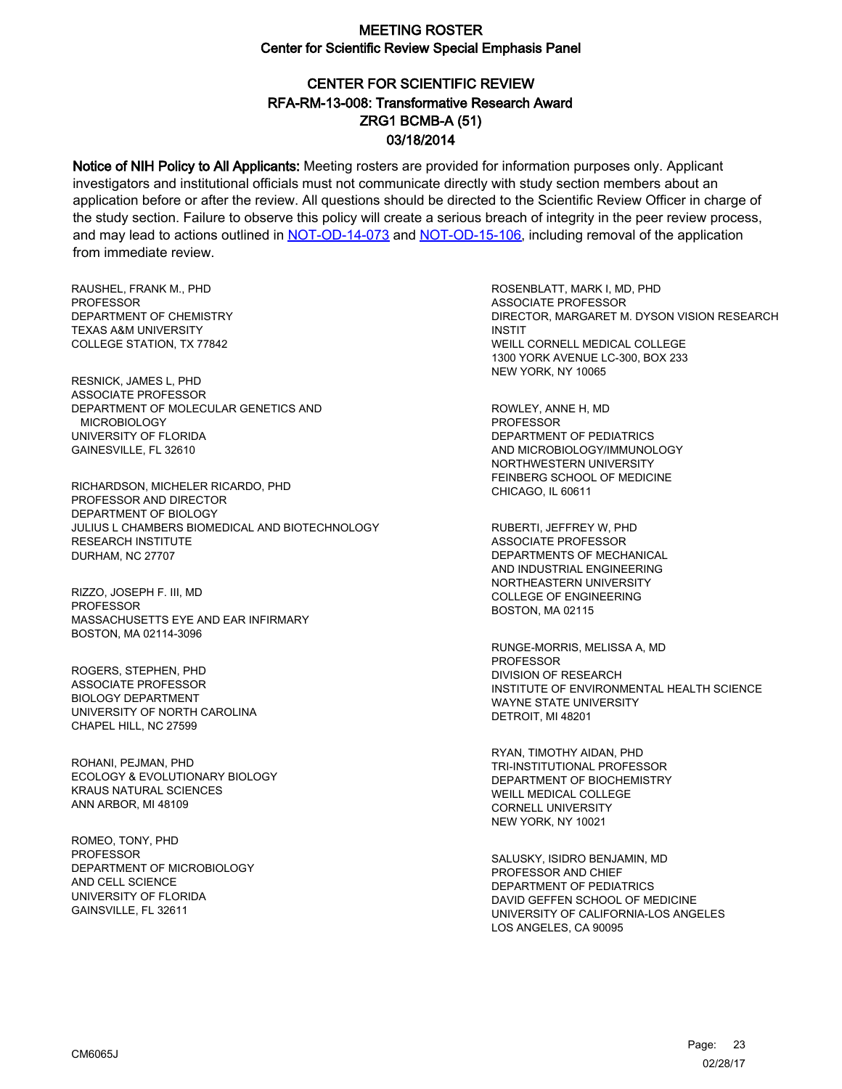# CENTER FOR SCIENTIFIC REVIEW ZRG1 BCMB-A (51) 03/18/2014 RFA-RM-13-008: Transformative Research Award

Notice of NIH Policy to All Applicants: Meeting rosters are provided for information purposes only. Applicant investigators and institutional officials must not communicate directly with study section members about an application before or after the review. All questions should be directed to the Scientific Review Officer in charge of the study section. Failure to observe this policy will create a serious breach of integrity in the peer review process, and may lead to actions outlined in [NOT-OD-14-073](https://grants.nih.gov/grants/guide/notice-files/NOT-OD-14-073.html) and [NOT-OD-15-106,](https://grants.nih.gov/grants/guide/notice-files/NOT-OD-15-106.html) including removal of the application from immediate review.

RAUSHEL, FRANK M., PHD **PROFESSOR** DEPARTMENT OF CHEMISTRY TEXAS A&M UNIVERSITY COLLEGE STATION, TX 77842

RESNICK, JAMES L, PHD ASSOCIATE PROFESSOR DEPARTMENT OF MOLECULAR GENETICS AND MICROBIOLOGY UNIVERSITY OF FLORIDA GAINESVILLE, FL 32610

RICHARDSON, MICHELER RICARDO, PHD PROFESSOR AND DIRECTOR DEPARTMENT OF BIOLOGY JULIUS L CHAMBERS BIOMEDICAL AND BIOTECHNOLOGY RESEARCH INSTITUTE DURHAM, NC 27707

RIZZO, JOSEPH F. III, MD PROFESSOR MASSACHUSETTS EYE AND EAR INFIRMARY BOSTON, MA 02114-3096

ROGERS, STEPHEN, PHD ASSOCIATE PROFESSOR BIOLOGY DEPARTMENT UNIVERSITY OF NORTH CAROLINA CHAPEL HILL, NC 27599

ROHANI, PEJMAN, PHD ECOLOGY & EVOLUTIONARY BIOLOGY KRAUS NATURAL SCIENCES ANN ARBOR, MI 48109

ROMEO, TONY, PHD **PROFESSOR** DEPARTMENT OF MICROBIOLOGY AND CELL SCIENCE UNIVERSITY OF FLORIDA GAINSVILLE, FL 32611

ROSENBLATT, MARK I, MD, PHD ASSOCIATE PROFESSOR DIRECTOR, MARGARET M. DYSON VISION RESEARCH INSTIT WEILL CORNELL MEDICAL COLLEGE 1300 YORK AVENUE LC-300, BOX 233 NEW YORK, NY 10065

ROWLEY, ANNE H, MD PROFESSOR DEPARTMENT OF PEDIATRICS AND MICROBIOLOGY/IMMUNOLOGY NORTHWESTERN UNIVERSITY FEINBERG SCHOOL OF MEDICINE CHICAGO, IL 60611

RUBERTI, JEFFREY W, PHD ASSOCIATE PROFESSOR DEPARTMENTS OF MECHANICAL AND INDUSTRIAL ENGINEERING NORTHEASTERN UNIVERSITY COLLEGE OF ENGINEERING BOSTON, MA 02115

RUNGE-MORRIS, MELISSA A, MD PROFESSOR DIVISION OF RESEARCH INSTITUTE OF ENVIRONMENTAL HEALTH SCIENCE WAYNE STATE UNIVERSITY DETROIT, MI 48201

RYAN, TIMOTHY AIDAN, PHD TRI-INSTITUTIONAL PROFESSOR DEPARTMENT OF BIOCHEMISTRY WEILL MEDICAL COLLEGE CORNELL UNIVERSITY NEW YORK, NY 10021

SALUSKY, ISIDRO BENJAMIN, MD PROFESSOR AND CHIEF DEPARTMENT OF PEDIATRICS DAVID GEFFEN SCHOOL OF MEDICINE UNIVERSITY OF CALIFORNIA-LOS ANGELES LOS ANGELES, CA 90095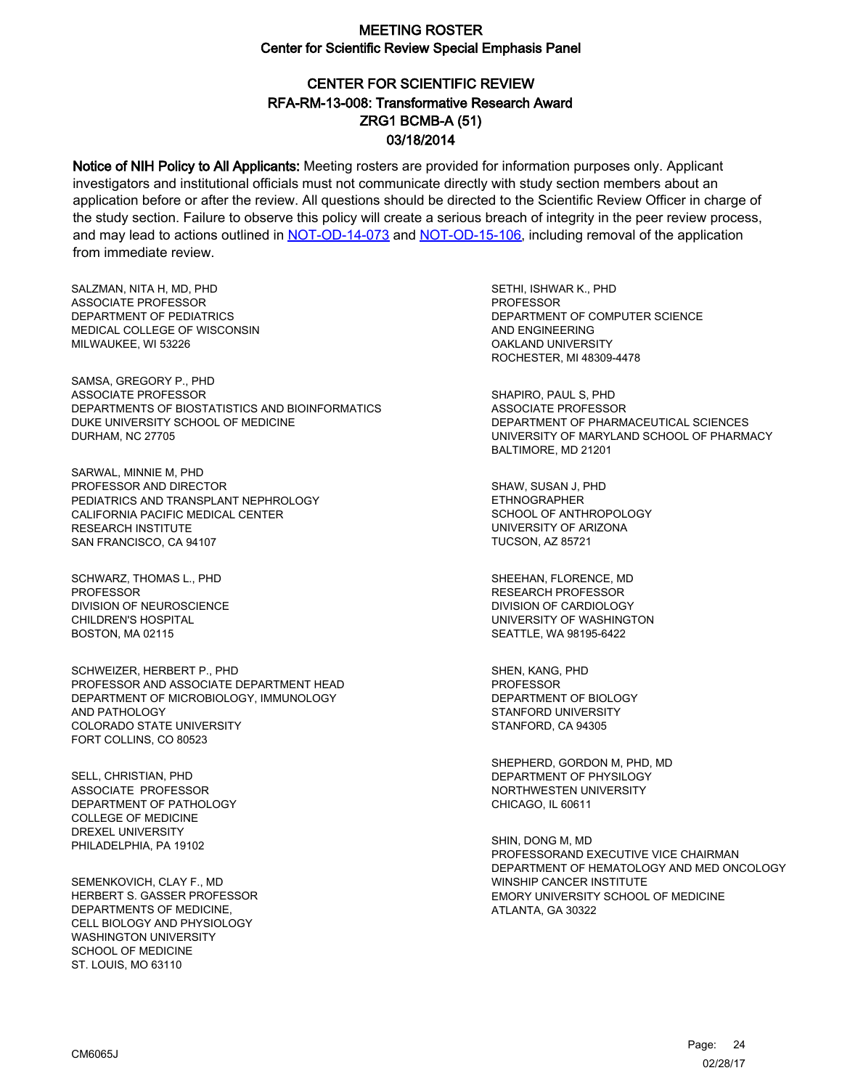# CENTER FOR SCIENTIFIC REVIEW ZRG1 BCMB-A (51) 03/18/2014 RFA-RM-13-008: Transformative Research Award

Notice of NIH Policy to All Applicants: Meeting rosters are provided for information purposes only. Applicant investigators and institutional officials must not communicate directly with study section members about an application before or after the review. All questions should be directed to the Scientific Review Officer in charge of the study section. Failure to observe this policy will create a serious breach of integrity in the peer review process, and may lead to actions outlined in [NOT-OD-14-073](https://grants.nih.gov/grants/guide/notice-files/NOT-OD-14-073.html) and [NOT-OD-15-106,](https://grants.nih.gov/grants/guide/notice-files/NOT-OD-15-106.html) including removal of the application from immediate review.

SALZMAN, NITA H, MD, PHD ASSOCIATE PROFESSOR DEPARTMENT OF PEDIATRICS MEDICAL COLLEGE OF WISCONSIN MILWAUKEE, WI 53226

SAMSA, GREGORY P., PHD ASSOCIATE PROFESSOR DEPARTMENTS OF BIOSTATISTICS AND BIOINFORMATICS DUKE UNIVERSITY SCHOOL OF MEDICINE DURHAM, NC 27705

SARWAL, MINNIE M, PHD PROFESSOR AND DIRECTOR PEDIATRICS AND TRANSPLANT NEPHROLOGY CALIFORNIA PACIFIC MEDICAL CENTER RESEARCH INSTITUTE SAN FRANCISCO, CA 94107

SCHWARZ, THOMAS L., PHD PROFESSOR DIVISION OF NEUROSCIENCE CHILDREN'S HOSPITAL BOSTON, MA 02115

SCHWEIZER, HERBERT P., PHD PROFESSOR AND ASSOCIATE DEPARTMENT HEAD DEPARTMENT OF MICROBIOLOGY, IMMUNOLOGY AND PATHOLOGY COLORADO STATE UNIVERSITY FORT COLLINS, CO 80523

SELL, CHRISTIAN, PHD ASSOCIATE PROFESSOR DEPARTMENT OF PATHOLOGY COLLEGE OF MEDICINE DREXEL UNIVERSITY PHILADELPHIA, PA 19102

SEMENKOVICH, CLAY F., MD HERBERT S. GASSER PROFESSOR DEPARTMENTS OF MEDICINE, CELL BIOLOGY AND PHYSIOLOGY WASHINGTON UNIVERSITY SCHOOL OF MEDICINE ST. LOUIS, MO 63110

SETHI, ISHWAR K., PHD **PROFESSOR** DEPARTMENT OF COMPUTER SCIENCE AND ENGINEERING OAKLAND UNIVERSITY ROCHESTER, MI 48309-4478

SHAPIRO, PAUL S, PHD ASSOCIATE PROFESSOR DEPARTMENT OF PHARMACEUTICAL SCIENCES UNIVERSITY OF MARYLAND SCHOOL OF PHARMACY BALTIMORE, MD 21201

SHAW, SUSAN J, PHD ETHNOGRAPHER SCHOOL OF ANTHROPOLOGY UNIVERSITY OF ARIZONA TUCSON, AZ 85721

SHEEHAN, FLORENCE, MD RESEARCH PROFESSOR DIVISION OF CARDIOLOGY UNIVERSITY OF WASHINGTON SEATTLE, WA 98195-6422

SHEN, KANG, PHD PROFESSOR DEPARTMENT OF BIOLOGY STANFORD UNIVERSITY STANFORD, CA 94305

SHEPHERD, GORDON M, PHD, MD DEPARTMENT OF PHYSILOGY NORTHWESTEN UNIVERSITY CHICAGO, IL 60611

SHIN, DONG M, MD PROFESSORAND EXECUTIVE VICE CHAIRMAN DEPARTMENT OF HEMATOLOGY AND MED ONCOLOGY WINSHIP CANCER INSTITUTE EMORY UNIVERSITY SCHOOL OF MEDICINE ATLANTA, GA 30322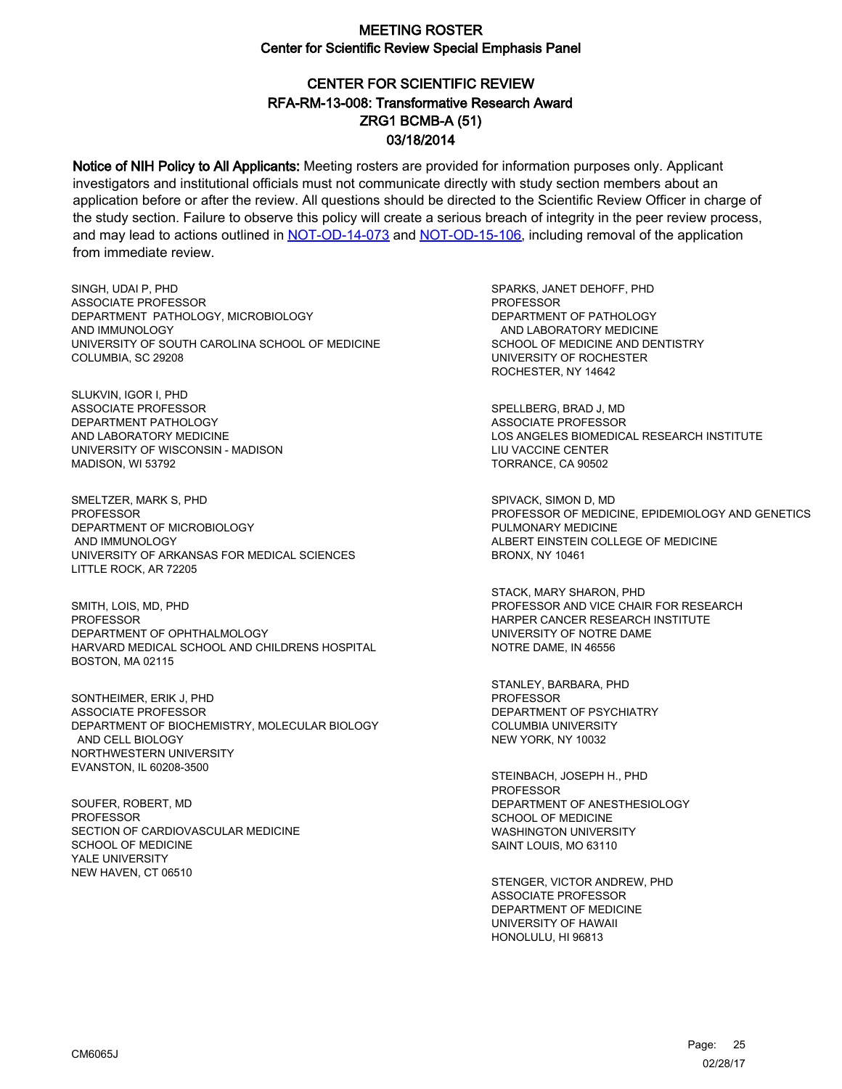# CENTER FOR SCIENTIFIC REVIEW ZRG1 BCMB-A (51) 03/18/2014 RFA-RM-13-008: Transformative Research Award

Notice of NIH Policy to All Applicants: Meeting rosters are provided for information purposes only. Applicant investigators and institutional officials must not communicate directly with study section members about an application before or after the review. All questions should be directed to the Scientific Review Officer in charge of the study section. Failure to observe this policy will create a serious breach of integrity in the peer review process, and may lead to actions outlined in [NOT-OD-14-073](https://grants.nih.gov/grants/guide/notice-files/NOT-OD-14-073.html) and [NOT-OD-15-106,](https://grants.nih.gov/grants/guide/notice-files/NOT-OD-15-106.html) including removal of the application from immediate review.

SINGH, UDAI P, PHD ASSOCIATE PROFESSOR DEPARTMENT PATHOLOGY, MICROBIOLOGY AND IMMUNOLOGY UNIVERSITY OF SOUTH CAROLINA SCHOOL OF MEDICINE COLUMBIA, SC 29208

SLUKVIN, IGOR I, PHD ASSOCIATE PROFESSOR DEPARTMENT PATHOLOGY AND LABORATORY MEDICINE UNIVERSITY OF WISCONSIN - MADISON MADISON, WI 53792

SMELTZER, MARK S, PHD **PROFESSOR** DEPARTMENT OF MICROBIOLOGY AND IMMUNOLOGY UNIVERSITY OF ARKANSAS FOR MEDICAL SCIENCES LITTLE ROCK, AR 72205

SMITH, LOIS, MD, PHD **PROFESSOR** DEPARTMENT OF OPHTHALMOLOGY HARVARD MEDICAL SCHOOL AND CHILDRENS HOSPITAL BOSTON, MA 02115

SONTHEIMER, ERIK J, PHD ASSOCIATE PROFESSOR DEPARTMENT OF BIOCHEMISTRY, MOLECULAR BIOLOGY AND CELL BIOLOGY NORTHWESTERN UNIVERSITY EVANSTON, IL 60208-3500

SOUFER, ROBERT, MD PROFESSOR SECTION OF CARDIOVASCULAR MEDICINE SCHOOL OF MEDICINE YALE UNIVERSITY NEW HAVEN, CT 06510

SPARKS, JANET DEHOFF, PHD **PROFESSOR** DEPARTMENT OF PATHOLOGY AND LABORATORY MEDICINE SCHOOL OF MEDICINE AND DENTISTRY UNIVERSITY OF ROCHESTER ROCHESTER, NY 14642

SPELLBERG, BRAD J, MD ASSOCIATE PROFESSOR LOS ANGELES BIOMEDICAL RESEARCH INSTITUTE LIU VACCINE CENTER TORRANCE, CA 90502

SPIVACK, SIMON D, MD PROFESSOR OF MEDICINE, EPIDEMIOLOGY AND GENETICS PULMONARY MEDICINE ALBERT EINSTEIN COLLEGE OF MEDICINE BRONX, NY 10461

STACK, MARY SHARON, PHD PROFESSOR AND VICE CHAIR FOR RESEARCH HARPER CANCER RESEARCH INSTITUTE UNIVERSITY OF NOTRE DAME NOTRE DAME, IN 46556

STANLEY, BARBARA, PHD PROFESSOR DEPARTMENT OF PSYCHIATRY COLUMBIA UNIVERSITY NEW YORK, NY 10032

STEINBACH, JOSEPH H., PHD PROFESSOR DEPARTMENT OF ANESTHESIOLOGY SCHOOL OF MEDICINE WASHINGTON UNIVERSITY SAINT LOUIS, MO 63110

STENGER, VICTOR ANDREW, PHD ASSOCIATE PROFESSOR DEPARTMENT OF MEDICINE UNIVERSITY OF HAWAII HONOLULU, HI 96813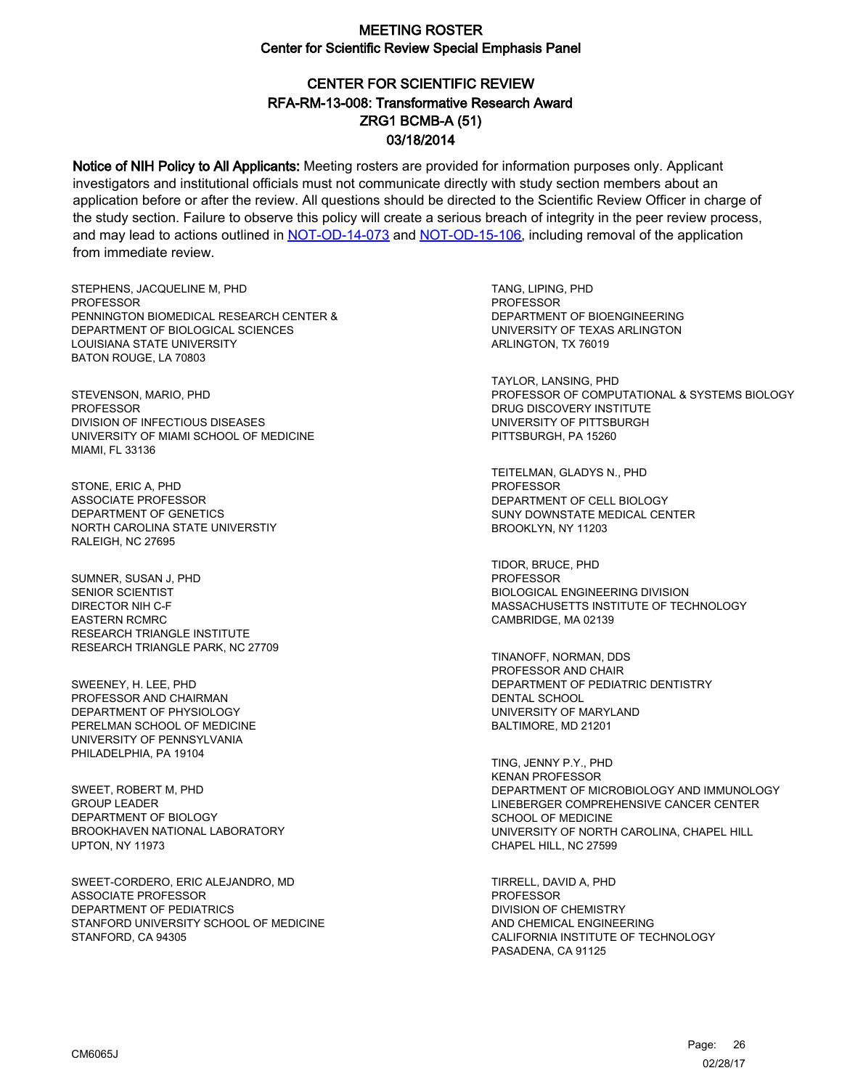# CENTER FOR SCIENTIFIC REVIEW ZRG1 BCMB-A (51) 03/18/2014 RFA-RM-13-008: Transformative Research Award

Notice of NIH Policy to All Applicants: Meeting rosters are provided for information purposes only. Applicant investigators and institutional officials must not communicate directly with study section members about an application before or after the review. All questions should be directed to the Scientific Review Officer in charge of the study section. Failure to observe this policy will create a serious breach of integrity in the peer review process, and may lead to actions outlined in [NOT-OD-14-073](https://grants.nih.gov/grants/guide/notice-files/NOT-OD-14-073.html) and [NOT-OD-15-106,](https://grants.nih.gov/grants/guide/notice-files/NOT-OD-15-106.html) including removal of the application from immediate review.

STEPHENS, JACQUELINE M, PHD **PROFESSOR** PENNINGTON BIOMEDICAL RESEARCH CENTER & DEPARTMENT OF BIOLOGICAL SCIENCES LOUISIANA STATE UNIVERSITY BATON ROUGE, LA 70803

STEVENSON, MARIO, PHD PROFESSOR DIVISION OF INFECTIOUS DISEASES UNIVERSITY OF MIAMI SCHOOL OF MEDICINE MIAMI, FL 33136

STONE, ERIC A, PHD ASSOCIATE PROFESSOR DEPARTMENT OF GENETICS NORTH CAROLINA STATE UNIVERSTIY RALEIGH, NC 27695

SUMNER, SUSAN J, PHD SENIOR SCIENTIST DIRECTOR NIH C-F EASTERN RCMRC RESEARCH TRIANGLE INSTITUTE RESEARCH TRIANGLE PARK, NC 27709

SWEENEY, H. LEE, PHD PROFESSOR AND CHAIRMAN DEPARTMENT OF PHYSIOLOGY PERELMAN SCHOOL OF MEDICINE UNIVERSITY OF PENNSYLVANIA PHILADELPHIA, PA 19104

SWEET, ROBERT M, PHD GROUP LEADER DEPARTMENT OF BIOLOGY BROOKHAVEN NATIONAL LABORATORY UPTON, NY 11973

SWEET-CORDERO, ERIC ALEJANDRO, MD ASSOCIATE PROFESSOR DEPARTMENT OF PEDIATRICS STANFORD UNIVERSITY SCHOOL OF MEDICINE STANFORD, CA 94305

TANG, LIPING, PHD **PROFESSOR** DEPARTMENT OF BIOENGINEERING UNIVERSITY OF TEXAS ARLINGTON ARLINGTON, TX 76019

TAYLOR, LANSING, PHD PROFESSOR OF COMPUTATIONAL & SYSTEMS BIOLOGY DRUG DISCOVERY INSTITUTE UNIVERSITY OF PITTSBURGH PITTSBURGH, PA 15260

TEITELMAN, GLADYS N., PHD **PROFESSOR** DEPARTMENT OF CELL BIOLOGY SUNY DOWNSTATE MEDICAL CENTER BROOKLYN, NY 11203

TIDOR, BRUCE, PHD PROFESSOR BIOLOGICAL ENGINEERING DIVISION MASSACHUSETTS INSTITUTE OF TECHNOLOGY CAMBRIDGE, MA 02139

TINANOFF, NORMAN, DDS PROFESSOR AND CHAIR DEPARTMENT OF PEDIATRIC DENTISTRY DENTAL SCHOOL UNIVERSITY OF MARYLAND BALTIMORE, MD 21201

TING, JENNY P.Y., PHD KENAN PROFESSOR DEPARTMENT OF MICROBIOLOGY AND IMMUNOLOGY LINEBERGER COMPREHENSIVE CANCER CENTER SCHOOL OF MEDICINE UNIVERSITY OF NORTH CAROLINA, CHAPEL HILL CHAPEL HILL, NC 27599

TIRRELL, DAVID A, PHD PROFESSOR DIVISION OF CHEMISTRY AND CHEMICAL ENGINEERING CALIFORNIA INSTITUTE OF TECHNOLOGY PASADENA, CA 91125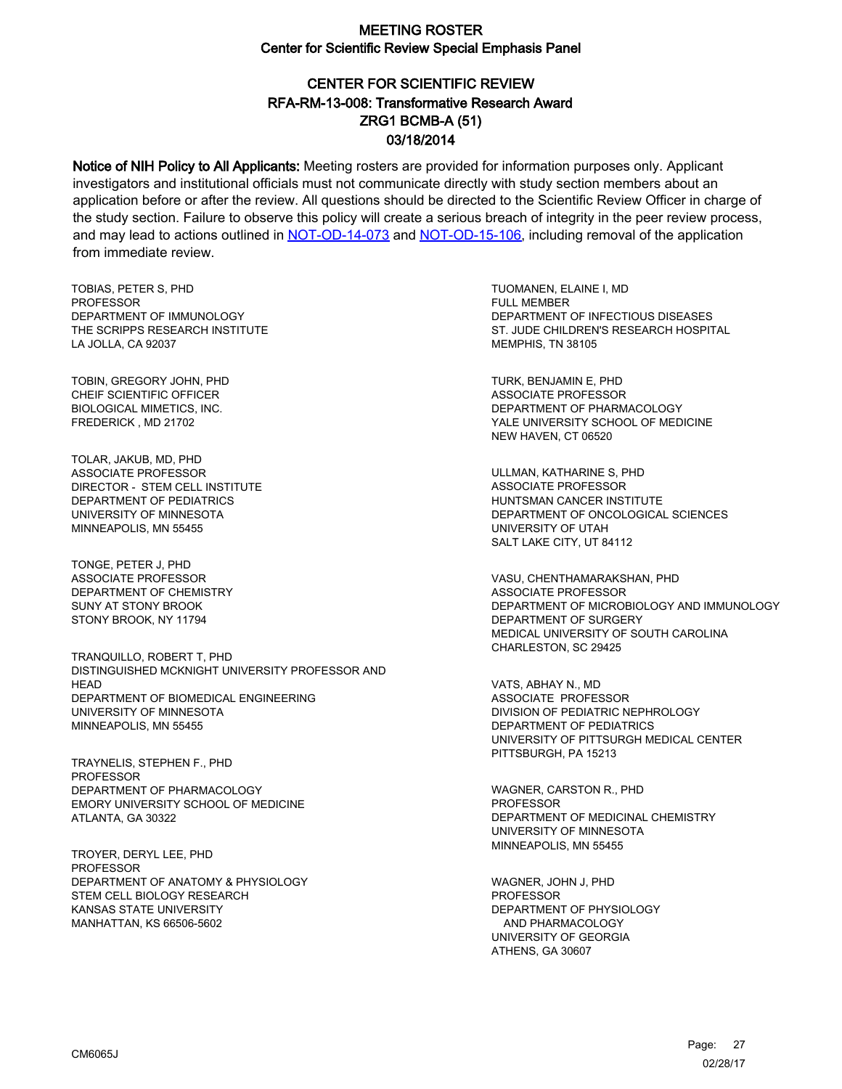# CENTER FOR SCIENTIFIC REVIEW ZRG1 BCMB-A (51) 03/18/2014 RFA-RM-13-008: Transformative Research Award

Notice of NIH Policy to All Applicants: Meeting rosters are provided for information purposes only. Applicant investigators and institutional officials must not communicate directly with study section members about an application before or after the review. All questions should be directed to the Scientific Review Officer in charge of the study section. Failure to observe this policy will create a serious breach of integrity in the peer review process, and may lead to actions outlined in [NOT-OD-14-073](https://grants.nih.gov/grants/guide/notice-files/NOT-OD-14-073.html) and [NOT-OD-15-106,](https://grants.nih.gov/grants/guide/notice-files/NOT-OD-15-106.html) including removal of the application from immediate review.

TOBIAS, PETER S, PHD **PROFESSOR** DEPARTMENT OF IMMUNOLOGY THE SCRIPPS RESEARCH INSTITUTE LA JOLLA, CA 92037

TOBIN, GREGORY JOHN, PHD CHEIF SCIENTIFIC OFFICER BIOLOGICAL MIMETICS, INC. FREDERICK , MD 21702

TOLAR, JAKUB, MD, PHD ASSOCIATE PROFESSOR DIRECTOR - STEM CELL INSTITUTE DEPARTMENT OF PEDIATRICS UNIVERSITY OF MINNESOTA MINNEAPOLIS, MN 55455

TONGE, PETER J, PHD ASSOCIATE PROFESSOR DEPARTMENT OF CHEMISTRY SUNY AT STONY BROOK STONY BROOK, NY 11794

TRANQUILLO, ROBERT T, PHD DISTINGUISHED MCKNIGHT UNIVERSITY PROFESSOR AND HEAD DEPARTMENT OF BIOMEDICAL ENGINEERING UNIVERSITY OF MINNESOTA MINNEAPOLIS, MN 55455

TRAYNELIS, STEPHEN F., PHD PROFESSOR DEPARTMENT OF PHARMACOLOGY EMORY UNIVERSITY SCHOOL OF MEDICINE ATLANTA, GA 30322

TROYER, DERYL LEE, PHD PROFESSOR DEPARTMENT OF ANATOMY & PHYSIOLOGY STEM CELL BIOLOGY RESEARCH KANSAS STATE UNIVERSITY MANHATTAN, KS 66506-5602

TUOMANEN, ELAINE I, MD FULL MEMBER DEPARTMENT OF INFECTIOUS DISEASES ST. JUDE CHILDREN'S RESEARCH HOSPITAL MEMPHIS, TN 38105

TURK, BENJAMIN E, PHD ASSOCIATE PROFESSOR DEPARTMENT OF PHARMACOLOGY YALE UNIVERSITY SCHOOL OF MEDICINE NEW HAVEN, CT 06520

ULLMAN, KATHARINE S, PHD ASSOCIATE PROFESSOR HUNTSMAN CANCER INSTITUTE DEPARTMENT OF ONCOLOGICAL SCIENCES UNIVERSITY OF UTAH SALT LAKE CITY, UT 84112

VASU, CHENTHAMARAKSHAN, PHD ASSOCIATE PROFESSOR DEPARTMENT OF MICROBIOLOGY AND IMMUNOLOGY DEPARTMENT OF SURGERY MEDICAL UNIVERSITY OF SOUTH CAROLINA CHARLESTON, SC 29425

VATS, ABHAY N., MD ASSOCIATE PROFESSOR DIVISION OF PEDIATRIC NEPHROLOGY DEPARTMENT OF PEDIATRICS UNIVERSITY OF PITTSURGH MEDICAL CENTER PITTSBURGH, PA 15213

WAGNER, CARSTON R., PHD **PROFESSOR** DEPARTMENT OF MEDICINAL CHEMISTRY UNIVERSITY OF MINNESOTA MINNEAPOLIS, MN 55455

WAGNER, JOHN J, PHD PROFESSOR DEPARTMENT OF PHYSIOLOGY AND PHARMACOLOGY UNIVERSITY OF GEORGIA ATHENS, GA 30607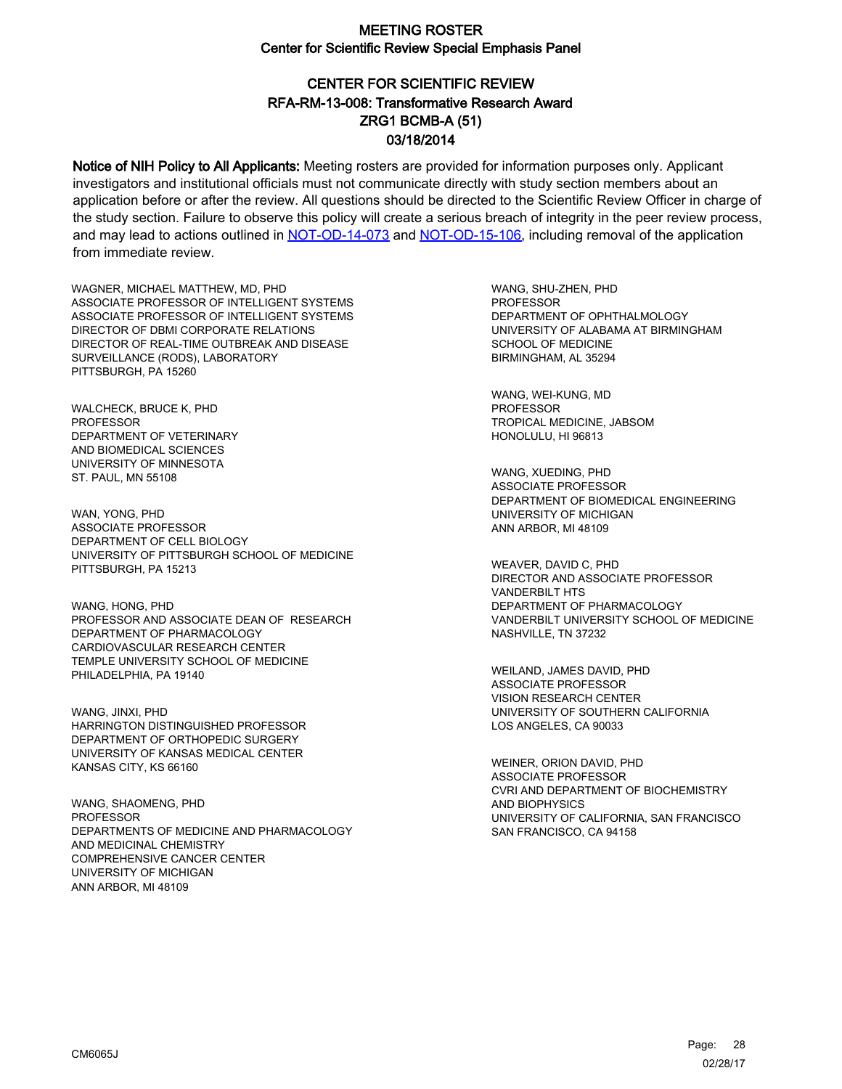# CENTER FOR SCIENTIFIC REVIEW ZRG1 BCMB-A (51) 03/18/2014 RFA-RM-13-008: Transformative Research Award

Notice of NIH Policy to All Applicants: Meeting rosters are provided for information purposes only. Applicant investigators and institutional officials must not communicate directly with study section members about an application before or after the review. All questions should be directed to the Scientific Review Officer in charge of the study section. Failure to observe this policy will create a serious breach of integrity in the peer review process, and may lead to actions outlined in [NOT-OD-14-073](https://grants.nih.gov/grants/guide/notice-files/NOT-OD-14-073.html) and [NOT-OD-15-106,](https://grants.nih.gov/grants/guide/notice-files/NOT-OD-15-106.html) including removal of the application from immediate review.

WAGNER, MICHAEL MATTHEW, MD, PHD ASSOCIATE PROFESSOR OF INTELLIGENT SYSTEMS ASSOCIATE PROFESSOR OF INTELLIGENT SYSTEMS DIRECTOR OF DBMI CORPORATE RELATIONS DIRECTOR OF REAL-TIME OUTBREAK AND DISEASE SURVEILLANCE (RODS), LABORATORY PITTSBURGH, PA 15260

WALCHECK, BRUCE K, PHD PROFESSOR DEPARTMENT OF VETERINARY AND BIOMEDICAL SCIENCES UNIVERSITY OF MINNESOTA ST. PAUL, MN 55108

WAN, YONG, PHD ASSOCIATE PROFESSOR DEPARTMENT OF CELL BIOLOGY UNIVERSITY OF PITTSBURGH SCHOOL OF MEDICINE PITTSBURGH, PA 15213

WANG, HONG, PHD PROFESSOR AND ASSOCIATE DEAN OF RESEARCH DEPARTMENT OF PHARMACOLOGY CARDIOVASCULAR RESEARCH CENTER TEMPLE UNIVERSITY SCHOOL OF MEDICINE PHILADELPHIA, PA 19140

WANG, JINXI, PHD HARRINGTON DISTINGUISHED PROFESSOR DEPARTMENT OF ORTHOPEDIC SURGERY UNIVERSITY OF KANSAS MEDICAL CENTER KANSAS CITY, KS 66160

WANG, SHAOMENG, PHD PROFESSOR DEPARTMENTS OF MEDICINE AND PHARMACOLOGY AND MEDICINAL CHEMISTRY COMPREHENSIVE CANCER CENTER UNIVERSITY OF MICHIGAN ANN ARBOR, MI 48109

WANG, SHU-ZHEN, PHD **PROFESSOR** DEPARTMENT OF OPHTHALMOLOGY UNIVERSITY OF ALABAMA AT BIRMINGHAM SCHOOL OF MEDICINE BIRMINGHAM, AL 35294

WANG, WEI-KUNG, MD PROFESSOR TROPICAL MEDICINE, JABSOM HONOLULU, HI 96813

WANG, XUEDING, PHD ASSOCIATE PROFESSOR DEPARTMENT OF BIOMEDICAL ENGINEERING UNIVERSITY OF MICHIGAN ANN ARBOR, MI 48109

WEAVER, DAVID C, PHD DIRECTOR AND ASSOCIATE PROFESSOR VANDERBILT HTS DEPARTMENT OF PHARMACOLOGY VANDERBILT UNIVERSITY SCHOOL OF MEDICINE NASHVILLE, TN 37232

WEILAND, JAMES DAVID, PHD ASSOCIATE PROFESSOR VISION RESEARCH CENTER UNIVERSITY OF SOUTHERN CALIFORNIA LOS ANGELES, CA 90033

WEINER, ORION DAVID, PHD ASSOCIATE PROFESSOR CVRI AND DEPARTMENT OF BIOCHEMISTRY AND BIOPHYSICS UNIVERSITY OF CALIFORNIA, SAN FRANCISCO SAN FRANCISCO, CA 94158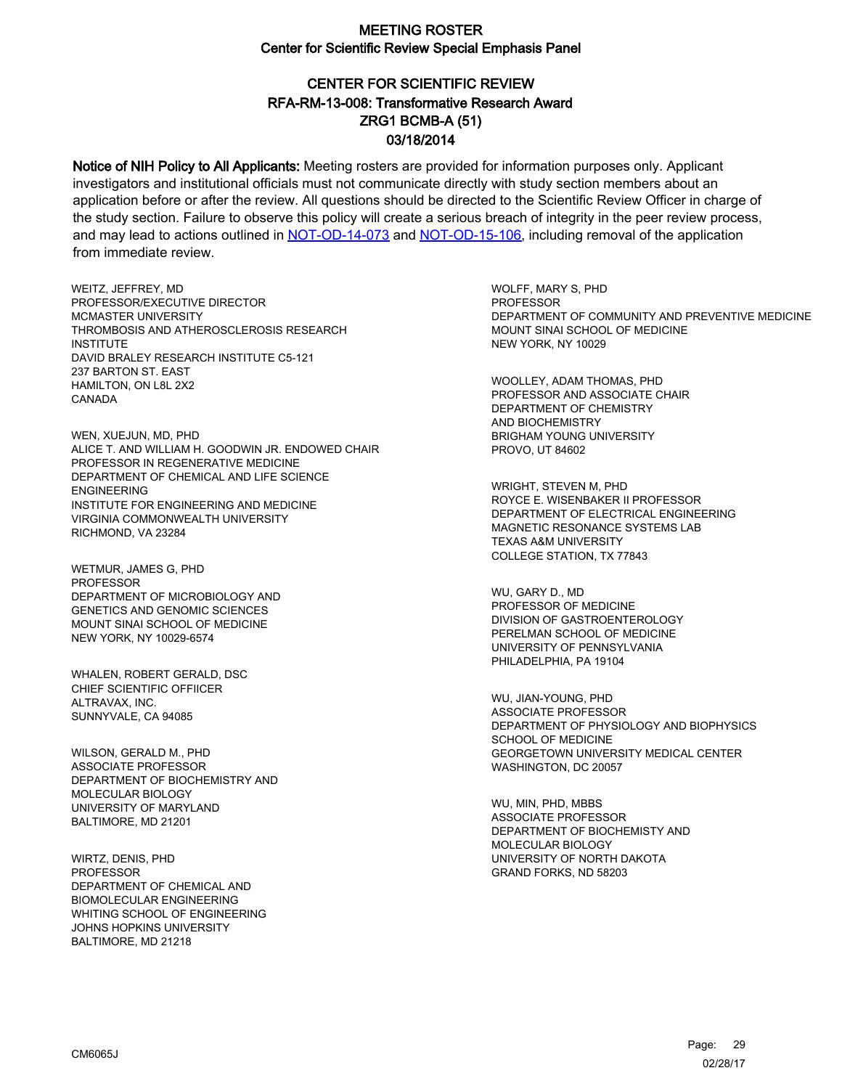# CENTER FOR SCIENTIFIC REVIEW ZRG1 BCMB-A (51) 03/18/2014 RFA-RM-13-008: Transformative Research Award

Notice of NIH Policy to All Applicants: Meeting rosters are provided for information purposes only. Applicant investigators and institutional officials must not communicate directly with study section members about an application before or after the review. All questions should be directed to the Scientific Review Officer in charge of the study section. Failure to observe this policy will create a serious breach of integrity in the peer review process, and may lead to actions outlined in [NOT-OD-14-073](https://grants.nih.gov/grants/guide/notice-files/NOT-OD-14-073.html) and [NOT-OD-15-106,](https://grants.nih.gov/grants/guide/notice-files/NOT-OD-15-106.html) including removal of the application from immediate review.

WEITZ, JEFFREY, MD PROFESSOR/EXECUTIVE DIRECTOR MCMASTER UNIVERSITY THROMBOSIS AND ATHEROSCLEROSIS RESEARCH **INSTITUTE** DAVID BRALEY RESEARCH INSTITUTE C5-121 237 BARTON ST. EAST HAMILTON, ON L8L 2X2 CANADA

WEN, XUEJUN, MD, PHD ALICE T. AND WILLIAM H. GOODWIN JR. ENDOWED CHAIR PROFESSOR IN REGENERATIVE MEDICINE DEPARTMENT OF CHEMICAL AND LIFE SCIENCE ENGINEERING INSTITUTE FOR ENGINEERING AND MEDICINE VIRGINIA COMMONWEALTH UNIVERSITY RICHMOND, VA 23284

WETMUR, JAMES G, PHD PROFESSOR DEPARTMENT OF MICROBIOLOGY AND GENETICS AND GENOMIC SCIENCES MOUNT SINAI SCHOOL OF MEDICINE NEW YORK, NY 10029-6574

WHALEN, ROBERT GERALD, DSC CHIEF SCIENTIFIC OFFIICER ALTRAVAX, INC. SUNNYVALE, CA 94085

WILSON, GERALD M., PHD ASSOCIATE PROFESSOR DEPARTMENT OF BIOCHEMISTRY AND MOLECULAR BIOLOGY UNIVERSITY OF MARYLAND BALTIMORE, MD 21201

WIRTZ, DENIS, PHD PROFESSOR DEPARTMENT OF CHEMICAL AND BIOMOLECULAR ENGINEERING WHITING SCHOOL OF ENGINEERING JOHNS HOPKINS UNIVERSITY BALTIMORE, MD 21218

WOLFF, MARY S, PHD **PROFESSOR** DEPARTMENT OF COMMUNITY AND PREVENTIVE MEDICINE MOUNT SINAI SCHOOL OF MEDICINE NEW YORK, NY 10029

WOOLLEY, ADAM THOMAS, PHD PROFESSOR AND ASSOCIATE CHAIR DEPARTMENT OF CHEMISTRY AND BIOCHEMISTRY BRIGHAM YOUNG UNIVERSITY PROVO, UT 84602

WRIGHT, STEVEN M, PHD ROYCE E. WISENBAKER II PROFESSOR DEPARTMENT OF ELECTRICAL ENGINEERING MAGNETIC RESONANCE SYSTEMS LAB TEXAS A&M UNIVERSITY COLLEGE STATION, TX 77843

WU, GARY D., MD PROFESSOR OF MEDICINE DIVISION OF GASTROENTEROLOGY PERELMAN SCHOOL OF MEDICINE UNIVERSITY OF PENNSYLVANIA PHILADELPHIA, PA 19104

WU, JIAN-YOUNG, PHD ASSOCIATE PROFESSOR DEPARTMENT OF PHYSIOLOGY AND BIOPHYSICS SCHOOL OF MEDICINE GEORGETOWN UNIVERSITY MEDICAL CENTER WASHINGTON, DC 20057

WU, MIN, PHD, MBBS ASSOCIATE PROFESSOR DEPARTMENT OF BIOCHEMISTY AND MOLECULAR BIOLOGY UNIVERSITY OF NORTH DAKOTA GRAND FORKS, ND 58203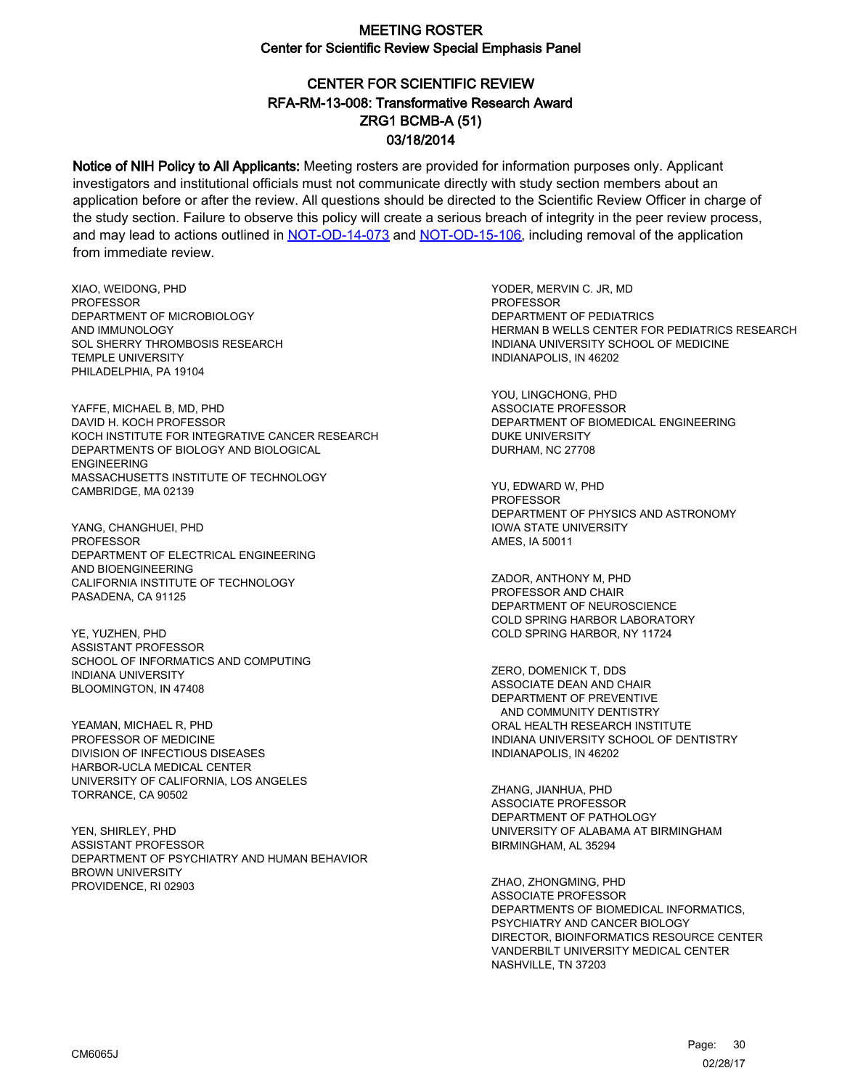# CENTER FOR SCIENTIFIC REVIEW ZRG1 BCMB-A (51) 03/18/2014 RFA-RM-13-008: Transformative Research Award

Notice of NIH Policy to All Applicants: Meeting rosters are provided for information purposes only. Applicant investigators and institutional officials must not communicate directly with study section members about an application before or after the review. All questions should be directed to the Scientific Review Officer in charge of the study section. Failure to observe this policy will create a serious breach of integrity in the peer review process, and may lead to actions outlined in [NOT-OD-14-073](https://grants.nih.gov/grants/guide/notice-files/NOT-OD-14-073.html) and [NOT-OD-15-106,](https://grants.nih.gov/grants/guide/notice-files/NOT-OD-15-106.html) including removal of the application from immediate review.

XIAO, WEIDONG, PHD PROFESSOR DEPARTMENT OF MICROBIOLOGY AND IMMUNOLOGY SOL SHERRY THROMBOSIS RESEARCH TEMPLE UNIVERSITY PHILADELPHIA, PA 19104

YAFFE, MICHAEL B, MD, PHD DAVID H. KOCH PROFESSOR KOCH INSTITUTE FOR INTEGRATIVE CANCER RESEARCH DEPARTMENTS OF BIOLOGY AND BIOLOGICAL ENGINEERING MASSACHUSETTS INSTITUTE OF TECHNOLOGY CAMBRIDGE, MA 02139

YANG, CHANGHUEI, PHD PROFESSOR DEPARTMENT OF ELECTRICAL ENGINEERING AND BIOENGINEERING CALIFORNIA INSTITUTE OF TECHNOLOGY PASADENA, CA 91125

YE, YUZHEN, PHD ASSISTANT PROFESSOR SCHOOL OF INFORMATICS AND COMPUTING INDIANA UNIVERSITY BLOOMINGTON, IN 47408

YEAMAN, MICHAEL R, PHD PROFESSOR OF MEDICINE DIVISION OF INFECTIOUS DISEASES HARBOR-UCLA MEDICAL CENTER UNIVERSITY OF CALIFORNIA, LOS ANGELES TORRANCE, CA 90502

YEN, SHIRLEY, PHD ASSISTANT PROFESSOR DEPARTMENT OF PSYCHIATRY AND HUMAN BEHAVIOR BROWN UNIVERSITY PROVIDENCE, RI 02903

YODER, MERVIN C. JR, MD PROFESSOR DEPARTMENT OF PEDIATRICS HERMAN B WELLS CENTER FOR PEDIATRICS RESEARCH INDIANA UNIVERSITY SCHOOL OF MEDICINE INDIANAPOLIS, IN 46202

YOU, LINGCHONG, PHD ASSOCIATE PROFESSOR DEPARTMENT OF BIOMEDICAL ENGINEERING DUKE UNIVERSITY DURHAM, NC 27708

YU, EDWARD W, PHD PROFESSOR DEPARTMENT OF PHYSICS AND ASTRONOMY IOWA STATE UNIVERSITY AMES, IA 50011

ZADOR, ANTHONY M, PHD PROFESSOR AND CHAIR DEPARTMENT OF NEUROSCIENCE COLD SPRING HARBOR LABORATORY COLD SPRING HARBOR, NY 11724

ZERO, DOMENICK T, DDS ASSOCIATE DEAN AND CHAIR DEPARTMENT OF PREVENTIVE AND COMMUNITY DENTISTRY ORAL HEALTH RESEARCH INSTITUTE INDIANA UNIVERSITY SCHOOL OF DENTISTRY INDIANAPOLIS, IN 46202

ZHANG, JIANHUA, PHD ASSOCIATE PROFESSOR DEPARTMENT OF PATHOLOGY UNIVERSITY OF ALABAMA AT BIRMINGHAM BIRMINGHAM, AL 35294

ZHAO, ZHONGMING, PHD ASSOCIATE PROFESSOR DEPARTMENTS OF BIOMEDICAL INFORMATICS, PSYCHIATRY AND CANCER BIOLOGY DIRECTOR, BIOINFORMATICS RESOURCE CENTER VANDERBILT UNIVERSITY MEDICAL CENTER NASHVILLE, TN 37203